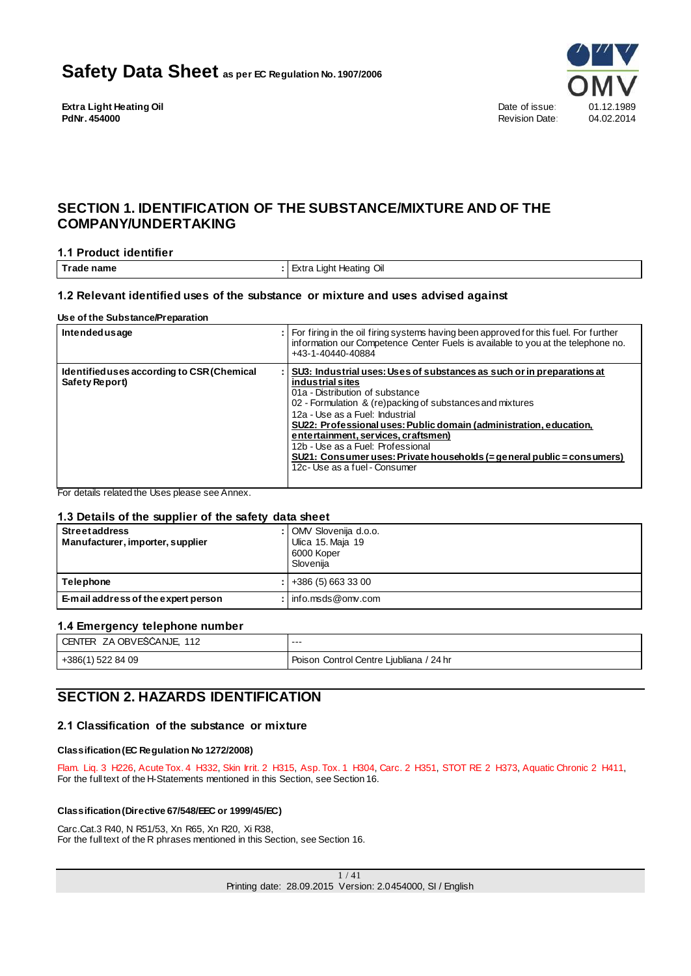

## **SECTION 1. IDENTIFICATION OF THE SUBSTANCE/MIXTURE AND OF THE COMPANY/UNDERTAKING**

### **1.1 Product identifier**

| .                   |                                |
|---------------------|--------------------------------|
| Trade name<br>_____ | <b>Extra Light Heating Oil</b> |

### **1.2 Relevant identified uses of the substance or mixture and uses advised against**

**Use of the Substance/Preparation**

| <b>Intendedusage</b>                                         | :   For firing in the oil firing systems having been approved for this fuel. For further<br>information our Competence Center Fuels is available to you at the telephone no.<br>+43-1-40440-40884                                                                                                                                                                                                                                                                                            |
|--------------------------------------------------------------|----------------------------------------------------------------------------------------------------------------------------------------------------------------------------------------------------------------------------------------------------------------------------------------------------------------------------------------------------------------------------------------------------------------------------------------------------------------------------------------------|
| Identified uses according to CSR (Chemical<br>Safety Report) | SU3: Industrial uses: Uses of substances as such or in preparations at<br>industrial sites<br>01a - Distribution of substance<br>02 - Formulation & (re)packing of substances and mixtures<br>12a - Use as a Fuel: Industrial<br>SU22: Professional uses: Public domain (administration, education,<br>entertainment, services, craftsmen)<br>12b - Use as a Fuel: Professional<br>$SU21:$ Consumer uses: Private households (= general public = consumers)<br>12c- Use as a fuel - Consumer |

For details related the Uses please see Annex.

#### **1.3 Details of the supplier of the safety data sheet**

| Streetaddress<br>Manufacturer, importer, supplier | : OMV Slovenija d.o.o.<br>Ulica 15. Maja 19<br>6000 Koper<br>Slovenija |
|---------------------------------------------------|------------------------------------------------------------------------|
| l Telephone                                       | :   +386 (5) 663 33 00                                                 |
| E-mail address of the expert person               | : $ $ info.msds @omv.com                                               |

#### **1.4 Emergency telephone number**

| CENTER ZA OBVEŠČANJE, 112 | $- - -$                                 |
|---------------------------|-----------------------------------------|
| +386(1) 522 84 09         | Poison Control Centre Ljubliana / 24 hr |

## **SECTION 2. HAZARDS IDENTIFICATION**

### **2.1 Classification of the substance or mixture**

#### **Classification(EC Regulation No 1272/2008)**

Flam. Liq. 3 H226, Acute Tox. 4 H332, Skin Irrit. 2 H315, Asp. Tox. 1 H304, Carc. 2 H351, STOT RE 2 H373, Aquatic Chronic 2 H411, For the full text of the H-Statements mentioned in this Section, see Section 16.

### **Classification(Directive 67/548/EEC or 1999/45/EC)**

Carc.Cat.3 R40, N R51/53, Xn R65, Xn R20, Xi R38, For the full text of the R phrases mentioned in this Section, see Section 16.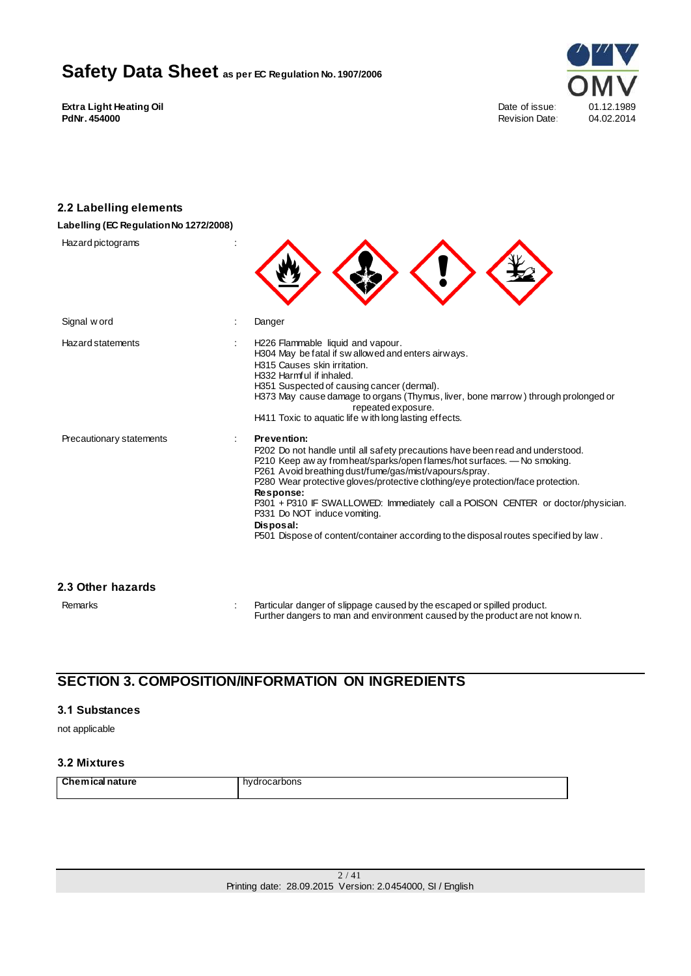

**Extra Light Heating Oil** Date of issue: 01.12.1989 **PdNr. 454000** Revision Date: 04.02.2014

## **2.2 Labelling elements**

| Labelling (EC Regulation No 1272/2008) |                                                                                                                                                                                                                                                                                                                                                                                                                                                                                                                                                                    |
|----------------------------------------|--------------------------------------------------------------------------------------------------------------------------------------------------------------------------------------------------------------------------------------------------------------------------------------------------------------------------------------------------------------------------------------------------------------------------------------------------------------------------------------------------------------------------------------------------------------------|
| Hazard pictograms                      |                                                                                                                                                                                                                                                                                                                                                                                                                                                                                                                                                                    |
| Signal w ord                           | Danger                                                                                                                                                                                                                                                                                                                                                                                                                                                                                                                                                             |
| <b>Hazard statements</b>               | H226 Flammable liquid and vapour.<br>H304 May be fatal if sw allowed and enters airways.<br>H315 Causes skin irritation.<br>H332 Harmful if inhaled.<br>H351 Suspected of causing cancer (dermal).<br>H373 May cause damage to organs (Thymus, liver, bone marrow) through prolonged or<br>repeated exposure.<br>H411 Toxic to aquatic life with long lasting effects.                                                                                                                                                                                             |
| Precautionary statements               | <b>Prevention:</b><br>P202 Do not handle until all safety precautions have been read and understood.<br>P210 Keep aw ay from heat/sparks/open flames/hot surfaces. — No smoking.<br>P261 Avoid breathing dust/fume/gas/mist/vapours/spray.<br>P280 Wear protective gloves/protective clothing/eye protection/face protection.<br>Response:<br>P301 + P310 IF SWALLOWED: Immediately call a POISON CENTER or doctor/physician.<br>P331 Do NOT induce vomiting.<br>Disposal:<br>P501 Dispose of content/container according to the disposal routes specified by law. |
| 2.3 Other hazards                      |                                                                                                                                                                                                                                                                                                                                                                                                                                                                                                                                                                    |
|                                        |                                                                                                                                                                                                                                                                                                                                                                                                                                                                                                                                                                    |

Remarks **in the sum of the Cause of Science Cause** Caused by the escaped or spilled product. Further dangers to man and environment caused by the product are not know n.

# **SECTION 3. COMPOSITION/INFORMATION ON INGREDIENTS**

### **3.1 Substances**

not applicable

### **3.2 Mixtures**

| Chemical nature | orocarpons |
|-----------------|------------|
|                 |            |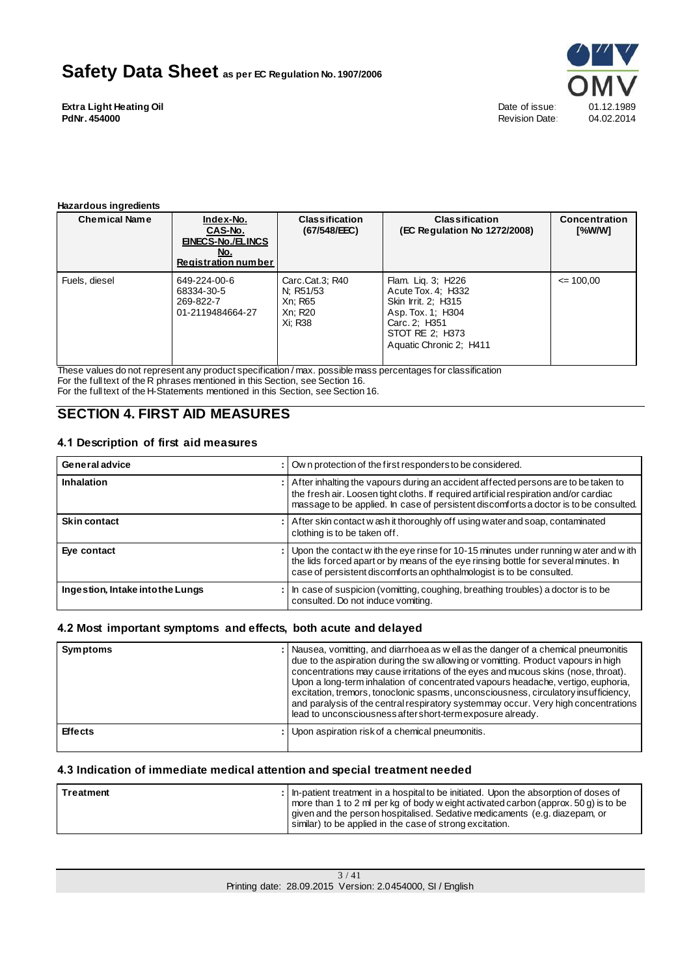**Extra Light Heating Oil** Date of issue: 01.12.1989 **PdNr. 454000** Revision Date: 04.02.2014



#### **Hazardous ingredients**

| <b>Chemical Name</b> | Index-No.<br>CAS-No.<br>ENECS-No./ELINCS<br>No.<br>Registration number | <b>Classification</b><br>(67/548/EEC)                         | <b>Classification</b><br>(EC Regulation No 1272/2008)                                                                                               | Concentration<br>[%W/W] |
|----------------------|------------------------------------------------------------------------|---------------------------------------------------------------|-----------------------------------------------------------------------------------------------------------------------------------------------------|-------------------------|
| Fuels, diesel        | 649-224-00-6<br>68334-30-5<br>269-822-7<br>01-2119484664-27            | Carc.Cat.3; R40<br>N: R51/53<br>Xn: R65<br>Xn: R20<br>Xi: R38 | Flam. Lig. 3; H226<br>Acute Tox. 4; H332<br>Skin Irrit. 2: H315<br>Asp. Tox. 1: H304<br>Carc. 2: H351<br>STOT RE 2: H373<br>Aquatic Chronic 2: H411 | $= 100,00$              |

These values do not represent any product specification / max. possible mass percentages for classification For the full text of the R phrases mentioned in this Section, see Section 16. For the full text of the H-Statements mentioned in this Section, see Section 16.

## **SECTION 4. FIRST AID MEASURES**

### **4.1 Description of first aid measures**

| General advice                   | Own protection of the first responders to be considered.                                                                                                                                                                                                             |
|----------------------------------|----------------------------------------------------------------------------------------------------------------------------------------------------------------------------------------------------------------------------------------------------------------------|
| Inhalation<br>: I                | After inhalting the vapours during an accident affected persons are to be taken to<br>the fresh air. Loosen tight cloths. If required artificial respiration and/or cardiac<br>massage to be applied. In case of persistent discomforts a doctor is to be consulted. |
| <b>Skin contact</b><br>: 1       | After skin contact w ash it thoroughly off using water and soap, contaminated<br>clothing is to be taken off.                                                                                                                                                        |
| Eye contact<br>: 1               | Upon the contact with the eye rinse for 10-15 minutes under running water and with<br>the lids forced apart or by means of the eye rinsing bottle for several minutes. In<br>case of persistent discomforts an ophthalmologist is to be consulted.                   |
| Ingestion, Intake into the Lungs | In case of suspicion (vomitting, coughing, breathing troubles) a doctor is to be<br>consulted. Do not induce vomiting.                                                                                                                                               |

### **4.2 Most important symptoms and effects, both acute and delayed**

| <b>Symptoms</b> | : Nausea, vomitting, and diarrhoea as well as the danger of a chemical pneumonitis<br>due to the aspiration during the sw allowing or vomitting. Product vapours in high<br>concentrations may cause irritations of the eyes and mucous skins (nose, throat).<br>Upon a long-term inhalation of concentrated vapours headache, vertigo, euphoria,<br>excitation, tremors, tonoclonic spasms, unconsciousness, circulatory insufficiency,<br>and paralysis of the central respiratory system may occur. Very high concentrations<br>lead to unconsciousness after short-term exposure already. |
|-----------------|-----------------------------------------------------------------------------------------------------------------------------------------------------------------------------------------------------------------------------------------------------------------------------------------------------------------------------------------------------------------------------------------------------------------------------------------------------------------------------------------------------------------------------------------------------------------------------------------------|
| <b>Effects</b>  | Upon aspiration risk of a chemical pneumonitis.                                                                                                                                                                                                                                                                                                                                                                                                                                                                                                                                               |

### **4.3 Indication of immediate medical attention and special treatment needed**

| l Treatment | : In-patient treatment in a hospital to be initiated. Upon the absorption of doses of                                                                                                                                         |
|-------------|-------------------------------------------------------------------------------------------------------------------------------------------------------------------------------------------------------------------------------|
|             | more than 1 to 2 ml per kg of body w eight activated carbon (approx. 50 g) is to be<br>given and the person hospitalised. Sedative medicaments (e.g. diazepam, or<br>similar) to be applied in the case of strong excitation. |
|             |                                                                                                                                                                                                                               |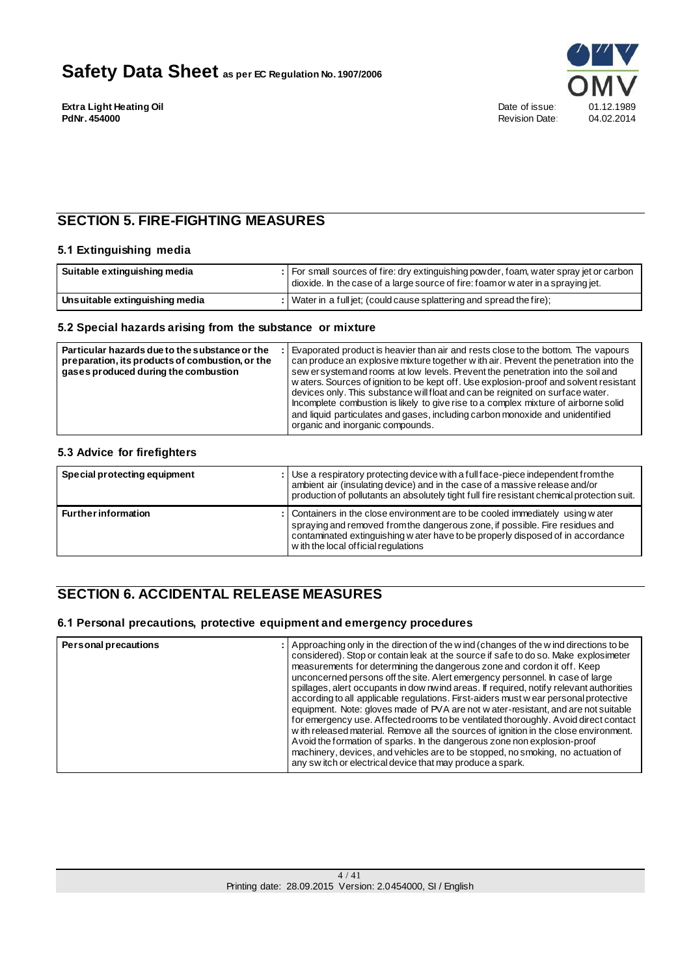

## **SECTION 5. FIRE-FIGHTING MEASURES**

### **5.1 Extinguishing media**

| Suitable extinguishing media   | :   For small sources of fire: dry extinguishing powder, foam, water spray jet or carbon<br>dioxide. In the case of a large source of fire: foamor water in a spraying jet. |
|--------------------------------|-----------------------------------------------------------------------------------------------------------------------------------------------------------------------------|
| Unsuitable extinguishing media | :   Water in a full jet; (could cause splattering and spread the fire);                                                                                                     |

### **5.2 Special hazards arising from the substance or mixture**

| Particular hazards due to the substance or the<br>preparation, its products of combustion, or the<br>gases produced during the combustion | Evaporated product is heavier than air and rests close to the bottom. The vapours<br>can produce an explosive mixture together w ith air. Prevent the penetration into the<br>sew er system and rooms at low levels. Prevent the penetration into the soil and<br>w aters. Sources of ignition to be kept off. Use explosion-proof and solvent resistant<br>devices only. This substance will float and can be reignited on surface water.<br>Incomplete combustion is likely to give rise to a complex mixture of airborne solid |
|-------------------------------------------------------------------------------------------------------------------------------------------|-----------------------------------------------------------------------------------------------------------------------------------------------------------------------------------------------------------------------------------------------------------------------------------------------------------------------------------------------------------------------------------------------------------------------------------------------------------------------------------------------------------------------------------|
|                                                                                                                                           | and liquid particulates and gases, including carbon monoxide and unidentified<br>organic and inorganic compounds.                                                                                                                                                                                                                                                                                                                                                                                                                 |

### **5.3 Advice for firefighters**

| Special protecting equipment | : Use a respiratory protecting device with a full face-piece independent from the<br>ambient air (insulating device) and in the case of a massive release and/or<br>production of pollutants an absolutely tight full fire resistant chemical protection suit.                             |
|------------------------------|--------------------------------------------------------------------------------------------------------------------------------------------------------------------------------------------------------------------------------------------------------------------------------------------|
| <b>Further information</b>   | : Containers in the close environment are to be cooled immediately using w ater<br>spraying and removed from the dangerous zone, if possible. Fire residues and<br>contaminated extinguishing w ater have to be properly disposed of in accordance<br>w ith the local official regulations |

## **SECTION 6. ACCIDENTAL RELEASE MEASURES**

## **6.1 Personal precautions, protective equipment and emergency procedures**

| <b>Personal precautions</b> | : Approaching only in the direction of the w ind (changes of the w ind directions to be<br>considered). Stop or contain leak at the source if safe to do so. Make explosimeter<br>measurements for determining the dangerous zone and cordon it off. Keep<br>unconcerned persons off the site. Alert emergency personnel. In case of large<br>spillages, alert occupants in dow nwind areas. If required, notify relevant authorities<br>according to all applicable regulations. First-aiders must w ear personal protective<br>equipment. Note: gloves made of PVA are not w ater-resistant, and are not suitable<br>for emergency use. Affected rooms to be ventilated thoroughly. Avoid direct contact<br>w ith released material. Remove all the sources of ignition in the close environment.<br>Avoid the formation of sparks. In the dangerous zone non explosion-proof<br>machinery, devices, and vehicles are to be stopped, no smoking, no actuation of<br>any switch or electrical device that may produce a spark. |
|-----------------------------|---------------------------------------------------------------------------------------------------------------------------------------------------------------------------------------------------------------------------------------------------------------------------------------------------------------------------------------------------------------------------------------------------------------------------------------------------------------------------------------------------------------------------------------------------------------------------------------------------------------------------------------------------------------------------------------------------------------------------------------------------------------------------------------------------------------------------------------------------------------------------------------------------------------------------------------------------------------------------------------------------------------------------------|
|-----------------------------|---------------------------------------------------------------------------------------------------------------------------------------------------------------------------------------------------------------------------------------------------------------------------------------------------------------------------------------------------------------------------------------------------------------------------------------------------------------------------------------------------------------------------------------------------------------------------------------------------------------------------------------------------------------------------------------------------------------------------------------------------------------------------------------------------------------------------------------------------------------------------------------------------------------------------------------------------------------------------------------------------------------------------------|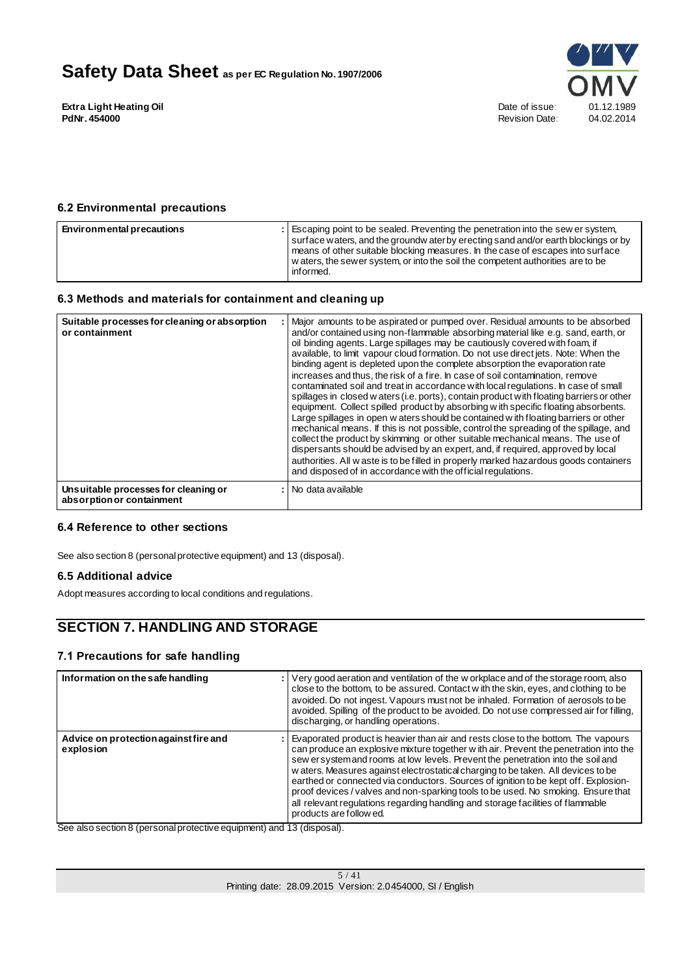

### **6.2 Environmental precautions**

| <b>Environmental precautions</b> | : Escaping point to be sealed. Preventing the penetration into the sew er system,<br>surface waters, and the groundw ater by erecting sand and/or earth blockings or by<br>means of other suitable blocking measures. In the case of escapes into surface<br>w aters, the sewer system, or into the soil the competent authorities are to be<br>informed. |
|----------------------------------|-----------------------------------------------------------------------------------------------------------------------------------------------------------------------------------------------------------------------------------------------------------------------------------------------------------------------------------------------------------|
|----------------------------------|-----------------------------------------------------------------------------------------------------------------------------------------------------------------------------------------------------------------------------------------------------------------------------------------------------------------------------------------------------------|

### **6.3 Methods and materials for containment and cleaning up**

| Suitable processes for cleaning or absorption<br>or containment   | Major amounts to be aspirated or pumped over. Residual amounts to be absorbed<br>and/or contained using non-flammable absorbing material like e.g. sand, earth, or<br>oil binding agents. Large spillages may be cautiously covered with foam, if<br>available, to limit vapour cloud formation. Do not use direct jets. Note: When the<br>binding agent is depleted upon the complete absorption the evaporation rate<br>increases and thus, the risk of a fire. In case of soil contamination, remove<br>contaminated soil and treat in accordance with local regulations. In case of small<br>spillages in closed w aters (i.e. ports), contain product with floating barriers or other<br>equipment. Collect spilled product by absorbing with specific floating absorbents.<br>Large spillages in open w aters should be contained w ith floating barriers or other<br>mechanical means. If this is not possible, control the spreading of the spillage, and<br>collect the product by skimming or other suitable mechanical means. The use of<br>dispersants should be advised by an expert, and, if required, approved by local<br>authorities. All w aste is to be filled in properly marked hazardous goods containers<br>and disposed of in accordance with the official regulations. |
|-------------------------------------------------------------------|-------------------------------------------------------------------------------------------------------------------------------------------------------------------------------------------------------------------------------------------------------------------------------------------------------------------------------------------------------------------------------------------------------------------------------------------------------------------------------------------------------------------------------------------------------------------------------------------------------------------------------------------------------------------------------------------------------------------------------------------------------------------------------------------------------------------------------------------------------------------------------------------------------------------------------------------------------------------------------------------------------------------------------------------------------------------------------------------------------------------------------------------------------------------------------------------------------------------------------------------------------------------------------------------------|
| Unsuitable processes for cleaning or<br>absorption or containment | No data available                                                                                                                                                                                                                                                                                                                                                                                                                                                                                                                                                                                                                                                                                                                                                                                                                                                                                                                                                                                                                                                                                                                                                                                                                                                                               |

### **6.4 Reference to other sections**

See also section 8 (personal protective equipment) and 13 (disposal).

### **6.5 Additional advice**

Adopt measures according to local conditions and regulations.

# **SECTION 7. HANDLING AND STORAGE**

### **7.1 Precautions for safe handling**

| Information on the safe handling                   | $:$ $\vee$ Very good aeration and ventilation of the w orkplace and of the storage room, also<br>close to the bottom, to be assured. Contact with the skin, eyes, and clothing to be<br>avoided. Do not ingest. Vapours must not be inhaled. Formation of aerosols to be<br>avoided. Spilling of the product to be avoided. Do not use compressed air for filling.<br>discharging, or handling operations.                                                                                                                                                                                                                                     |
|----------------------------------------------------|------------------------------------------------------------------------------------------------------------------------------------------------------------------------------------------------------------------------------------------------------------------------------------------------------------------------------------------------------------------------------------------------------------------------------------------------------------------------------------------------------------------------------------------------------------------------------------------------------------------------------------------------|
| Advice on protection against fire and<br>explosion | : Evaporated product is heavier than air and rests close to the bottom. The vapours<br>can produce an explosive mixture together with air. Prevent the penetration into the<br>sew er system and rooms at low levels. Prevent the penetration into the soil and<br>w aters. Measures against electrostatical charging to be taken. All devices to be<br>earthed or connected via conductors. Sources of ignition to be kept off. Explosion-<br>proof devices / valves and non-sparking tools to be used. No smoking. Ensure that<br>all relevant regulations regarding handling and storage facilities of flammable<br>products are follow ed. |

See also section 8 (personal protective equipment) and 13 (disposal).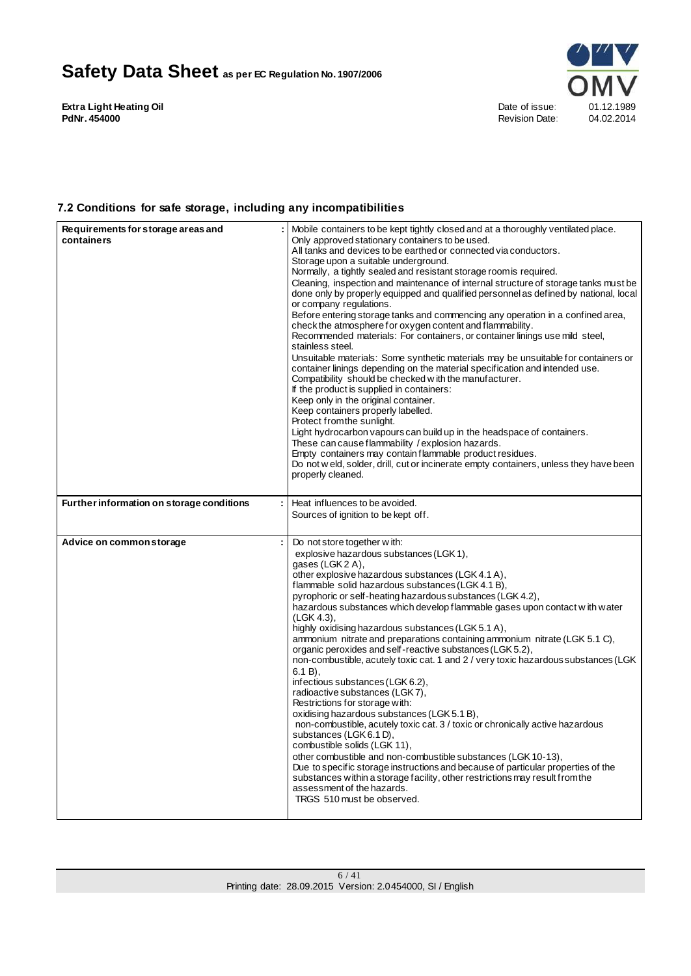

## **7.2 Conditions for safe storage, including any incompatibilities**

| Requirements for storage areas and        | Mobile containers to be kept tightly closed and at a thoroughly ventilated place.                                                                        |  |
|-------------------------------------------|----------------------------------------------------------------------------------------------------------------------------------------------------------|--|
| containers                                | Only approved stationary containers to be used.                                                                                                          |  |
|                                           | All tanks and devices to be earthed or connected via conductors.                                                                                         |  |
|                                           | Storage upon a suitable underground.                                                                                                                     |  |
|                                           | Normally, a tightly sealed and resistant storage roomis required.<br>Cleaning, inspection and maintenance of internal structure of storage tanks must be |  |
|                                           | done only by properly equipped and qualified personnel as defined by national, local<br>or company regulations.                                          |  |
|                                           | Before entering storage tanks and commencing any operation in a confined area,                                                                           |  |
|                                           | check the atmosphere for oxygen content and flammability.                                                                                                |  |
|                                           | Recommended materials: For containers, or container linings use mild steel,<br>stainless steel.                                                          |  |
|                                           | Unsuitable materials: Some synthetic materials may be unsuitable for containers or                                                                       |  |
|                                           | container linings depending on the material specification and intended use.                                                                              |  |
|                                           | Compatibility should be checked w ith the manufacturer.                                                                                                  |  |
|                                           | If the product is supplied in containers:                                                                                                                |  |
|                                           | Keep only in the original container.<br>Keep containers properly labelled.                                                                               |  |
|                                           | Protect from the sunlight.                                                                                                                               |  |
|                                           | Light hydrocarbon vapours can build up in the headspace of containers.                                                                                   |  |
|                                           | These can cause flammability / explosion hazards.                                                                                                        |  |
|                                           | Empty containers may contain flammable product residues.                                                                                                 |  |
|                                           | Do not weld, solder, drill, cut or incinerate empty containers, unless they have been<br>properly cleaned.                                               |  |
|                                           |                                                                                                                                                          |  |
| Further information on storage conditions | Heat influences to be avoided.                                                                                                                           |  |
|                                           | Sources of ignition to be kept off.                                                                                                                      |  |
|                                           |                                                                                                                                                          |  |
|                                           |                                                                                                                                                          |  |
|                                           |                                                                                                                                                          |  |
| Advice on common storage                  | Do not store together with:<br>explosive hazardous substances (LGK 1),                                                                                   |  |
|                                           | gases (LGK 2 A),                                                                                                                                         |  |
|                                           | other explosive hazardous substances (LGK 4.1 A),                                                                                                        |  |
|                                           | flammable solid hazardous substances (LGK 4.1 B),                                                                                                        |  |
|                                           | pyrophoric or self-heating hazardous substances (LGK 4.2),<br>hazardous substances which develop flammable gases upon contact with water                 |  |
|                                           | (LGK 4.3),                                                                                                                                               |  |
|                                           | highly oxidising hazardous substances (LGK 5.1 A),                                                                                                       |  |
|                                           | ammonium nitrate and preparations containing ammonium nitrate (LGK 5.1 C),                                                                               |  |
|                                           | organic peroxides and self-reactive substances (LGK 5.2),<br>non-combustible, acutely toxic cat. 1 and 2 / very toxic hazardous substances (LGK          |  |
|                                           | $6.1 B$ ).                                                                                                                                               |  |
|                                           | infectious substances (LGK 6.2),                                                                                                                         |  |
|                                           | radioactive substances (LGK7),                                                                                                                           |  |
|                                           | Restrictions for storage with:                                                                                                                           |  |
|                                           | oxidising hazardous substances (LGK 5.1 B),                                                                                                              |  |
|                                           | non-combustible, acutely toxic cat. 3 / toxic or chronically active hazardous<br>substances (LGK 6.1 D),                                                 |  |
|                                           | combustible solids (LGK 11),                                                                                                                             |  |
|                                           | other combustible and non-combustible substances (LGK 10-13),                                                                                            |  |
|                                           | Due to specific storage instructions and because of particular properties of the                                                                         |  |
|                                           | substances within a storage facility, other restrictions may result from the<br>assessment of the hazards.                                               |  |
|                                           | TRGS 510 must be observed.                                                                                                                               |  |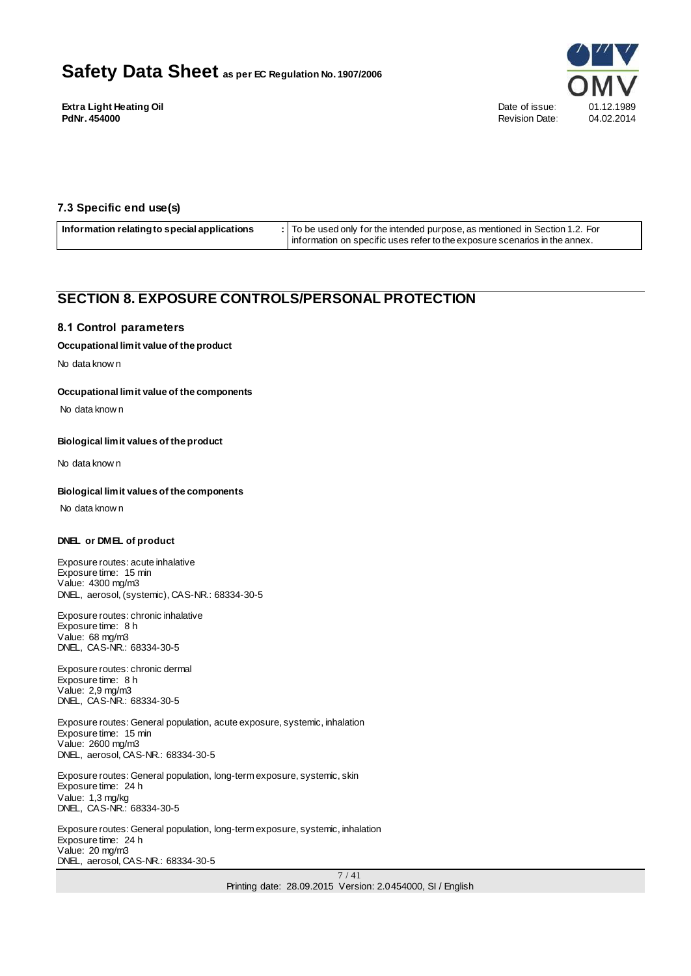**Extra Light Heating Oil** Date of issue: 01.12.1989 **PdNr. 454000** Revision Date: 04.02.2014



### **7.3 Specific end use(s)**

| Information relating to special applications | : To be used only for the intended purpose, as mentioned in Section 1.2. For |  |
|----------------------------------------------|------------------------------------------------------------------------------|--|
|                                              | Information on specific uses refer to the exposure scenarios in the annex.   |  |

## **SECTION 8. EXPOSURE CONTROLS/PERSONAL PROTECTION**

### **8.1 Control parameters**

### **Occupational limit value of the product**

No data know n

#### **Occupational limit value of the components**

No data know n

#### **Biological limit values of the product**

No data know n

#### **Biological limit values of the components**

No data know n

#### **DNEL or DMEL of product**

Exposure routes: acute inhalative Exposure time: 15 min Value: 4300 mg/m3 DNEL, aerosol, (systemic), CAS-NR.: 68334-30-5

Exposure routes: chronic inhalative Exposure time: 8 h Value: 68 mg/m3 DNEL, CAS-NR.: 68334-30-5

Exposure routes: chronic dermal Exposure time: 8 h Value: 2,9 mg/m3 DNEL, CAS-NR.: 68334-30-5

Exposure routes: General population, acute exposure, systemic, inhalation Exposure time: 15 min Value: 2600 mg/m3 DNEL, aerosol, CAS-NR.: 68334-30-5

Exposure routes: General population, long-term exposure, systemic, skin Exposure time: 24 h Value: 1,3 mg/kg DNEL, CAS-NR.: 68334-30-5

Exposure routes: General population, long-term exposure, systemic, inhalation Exposure time: 24 h Value: 20 mg/m3 DNEL, aerosol, CAS-NR.: 68334-30-5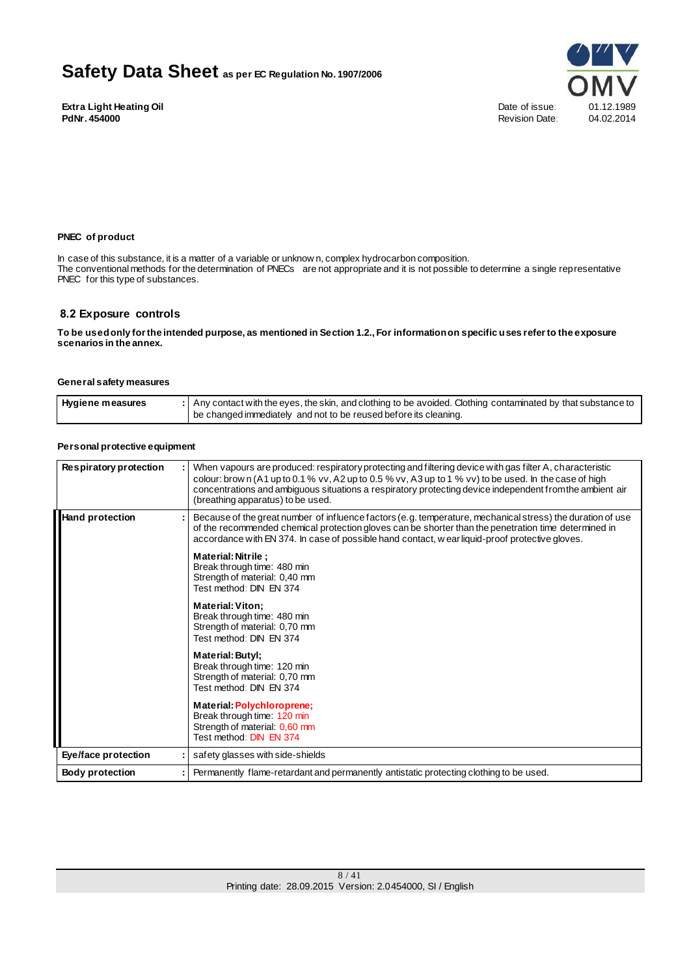

**Extra Light Heating Oil** Date of issue: 01.12.1989 **PdNr. 454000** Revision Date: 04.02.2014

### **PNEC of product**

In case of this substance, it is a matter of a variable or unknow n, complex hydrocarbon composition. The conventional methods for the determination of PNECs are not appropriate and it is not possible to determine a single representative PNEC for this type of substances.

### **8.2 Exposure controls**

**To be used only for the intended purpose, as mentioned in Section 1.2., For information on specific uses refer to the exposure scenarios in the annex.**

#### **General safety measures**

| Hygiene measures | : Any contact with the eyes, the skin, and clothing to be avoided. Clothing contaminated by that substance to |
|------------------|---------------------------------------------------------------------------------------------------------------|
|                  | be changed immediately and not to be reused before its cleaning.                                              |

### **Personal protective equipment**

| Respiratory protection | When vapours are produced: respiratory protecting and filtering device with gas filter A, characteristic<br>colour: brow n (A1 up to 0.1 % vv, A2 up to 0.5 % vv, A3 up to 1 % vv) to be used. In the case of high<br>concentrations and ambiguous situations a respiratory protecting device independent from the ambient air<br>(breathing apparatus) to be used. |  |
|------------------------|---------------------------------------------------------------------------------------------------------------------------------------------------------------------------------------------------------------------------------------------------------------------------------------------------------------------------------------------------------------------|--|
| <b>Hand protection</b> | Because of the great number of influence factors (e.g. temperature, mechanical stress) the duration of use<br>of the recommended chemical protection gloves can be shorter than the penetration time determined in<br>accordance with EN 374. In case of possible hand contact, w earliquid-proof protective gloves.                                                |  |
|                        | Material: Nitrile ;<br>Break through time: 480 min<br>Strength of material: 0,40 mm<br>Test method: DIN FN 374                                                                                                                                                                                                                                                      |  |
|                        | <b>Material: Viton;</b><br>Break through time: 480 min<br>Strength of material: 0,70 mm<br>Test method: DIN EN 374                                                                                                                                                                                                                                                  |  |
|                        | Material: Butyl;<br>Break through time: 120 min<br>Strength of material: 0,70 mm<br>Test method: DIN EN 374                                                                                                                                                                                                                                                         |  |
|                        | <b>Material: Polychloroprene;</b><br>Break through time: 120 min<br>Strength of material: 0,60 mm<br>Test method: DIN EN 374                                                                                                                                                                                                                                        |  |
| Eye/face protection    | safety glasses with side-shields                                                                                                                                                                                                                                                                                                                                    |  |
| <b>Body protection</b> | Permanently flame-retardant and permanently antistatic protecting clothing to be used.                                                                                                                                                                                                                                                                              |  |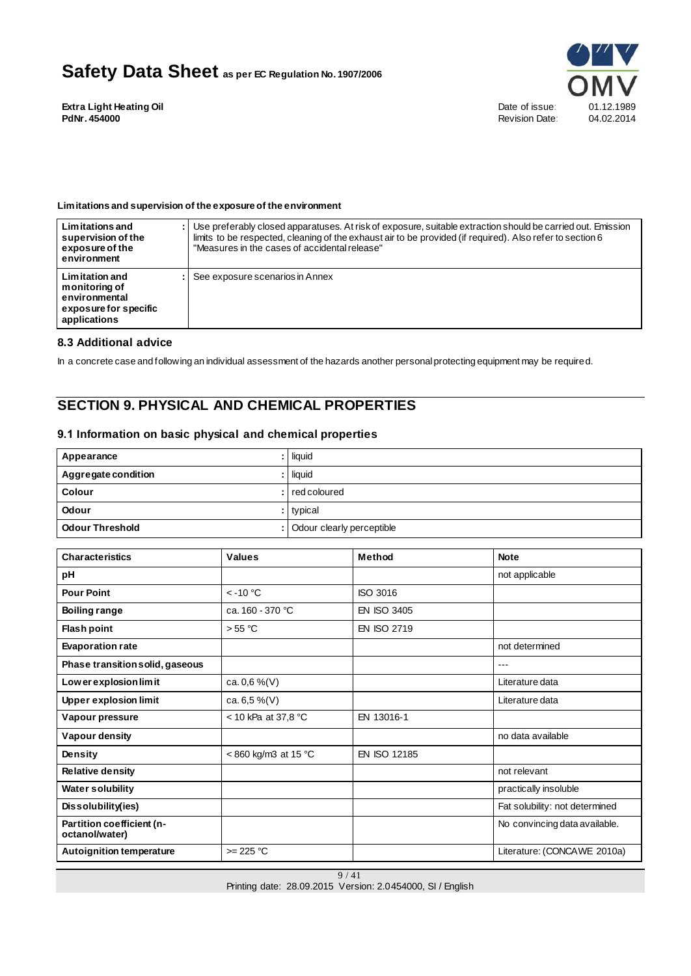

#### **Limitations and supervision of the exposure of the environment**

| Limitations and<br>supervision of the<br>exposure of the<br>environment                    | Use preferably closed apparatuses. At risk of exposure, suitable extraction should be carried out. Emission<br>limits to be respected, cleaning of the exhaust air to be provided (if required). Also refer to section 6<br>"Measures in the cases of accidental release" |
|--------------------------------------------------------------------------------------------|---------------------------------------------------------------------------------------------------------------------------------------------------------------------------------------------------------------------------------------------------------------------------|
| Limitation and<br>m onitoring of<br>environmental<br>exposure for specific<br>applications | See exposure scenarios in Annex                                                                                                                                                                                                                                           |

### **8.3 Additional advice**

In a concrete case and following an individual assessment of the hazards another personal protecting equipment may be required.

## **SECTION 9. PHYSICAL AND CHEMICAL PROPERTIES**

### **9.1 Information on basic physical and chemical properties**

| liquid<br>Appearance   |                             |
|------------------------|-----------------------------|
| Aggregate condition    | liauid                      |
| Colour                 | : red coloured              |
| Odour                  | : typical                   |
| <b>Odour Threshold</b> | : Odour clearly perceptible |

| <b>Characteristics</b>                      | Values                | <b>Method</b>      | <b>Note</b>                    |
|---------------------------------------------|-----------------------|--------------------|--------------------------------|
| рH                                          |                       |                    | not applicable                 |
| <b>Pour Point</b>                           | $< -10$ °C            | ISO 3016           |                                |
| <b>Boiling range</b>                        | ca. 160 - 370 °C      | <b>EN ISO 3405</b> |                                |
| Flash point                                 | > 55 °C               | <b>EN ISO 2719</b> |                                |
| <b>Evaporation rate</b>                     |                       |                    | not determined                 |
| Phase transition solid, gaseous             |                       |                    | ---                            |
| Low er explosion limit                      | ca. 0,6 %(V)          |                    | Literature data                |
| <b>Upper explosion limit</b>                | ca. 6,5 %(V)          |                    | Literature data                |
| Vapour pressure                             | $<$ 10 kPa at 37,8 °C | EN 13016-1         |                                |
| Vapour density                              |                       |                    | no data available              |
| Density                                     | <860 kg/m3 at 15 °C   | EN ISO 12185       |                                |
| <b>Relative density</b>                     |                       |                    | not relevant                   |
| <b>Water solubility</b>                     |                       |                    | practically insoluble          |
| Dissolubility(ies)                          |                       |                    | Fat solubility: not determined |
| Partition coefficient (n-<br>octanol/water) |                       |                    | No convincing data available.  |
| <b>Autoignition temperature</b>             | $>= 225 °C$           |                    | Literature: (CONCAWE 2010a)    |

9 / 41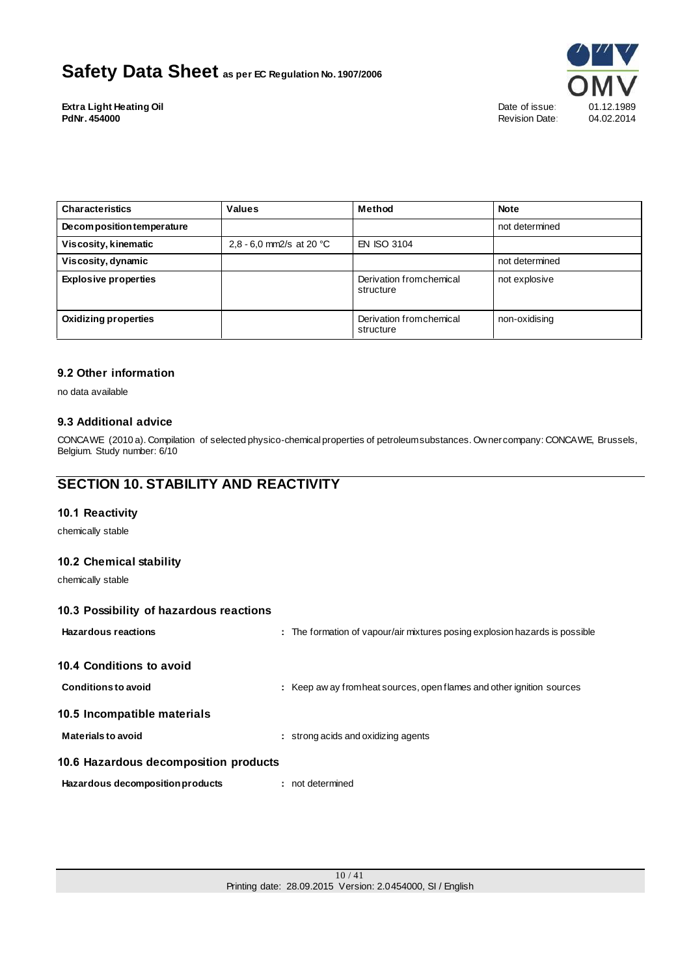

**Extra Light Heating Oil** Date of issue: 01.12.1989 **PdNr. 454000** Revision Date: 04.02.2014

| <b>Characteristics</b>           | <b>Values</b>            | Method                                | <b>Note</b>    |
|----------------------------------|--------------------------|---------------------------------------|----------------|
| <b>Decomposition temperature</b> |                          |                                       | not determined |
| Viscosity, kinematic             | 2,8 - 6,0 mm2/s at 20 °C | <b>EN ISO 3104</b>                    |                |
| Viscosity, dynamic               |                          |                                       | not determined |
| <b>Explosive properties</b>      |                          | Derivation from chemical<br>structure | not explosive  |
| <b>Oxidizing properties</b>      |                          | Derivation from chemical<br>structure | non-oxidising  |

### **9.2 Other information**

no data available

### **9.3 Additional advice**

CONCAWE (2010 a). Compilation of selected physico-chemical properties of petroleum substances. Owner company: CONCAWE, Brussels, Belgium. Study number: 6/10

## **SECTION 10. STABILITY AND REACTIVITY**

#### **10.1 Reactivity**

chemically stable

### **10.2 Chemical stability**

chemically stable

### **10.3 Possibility of hazardous reactions**

| <b>Hazardous reactions</b>                                | : The formation of vapour/air mixtures posing explosion hazards is possible |
|-----------------------------------------------------------|-----------------------------------------------------------------------------|
| 10.4 Conditions to avoid                                  |                                                                             |
| <b>Conditions to avoid</b><br>10.5 Incompatible materials | : Keep aw ay from heat sources, open flames and other ignition sources      |
| <b>Materials to avoid</b>                                 | : strong acids and oxidizing agents                                         |
| 10.6 Hazardous decomposition products                     |                                                                             |
| Hazardous decomposition products                          | : not determined                                                            |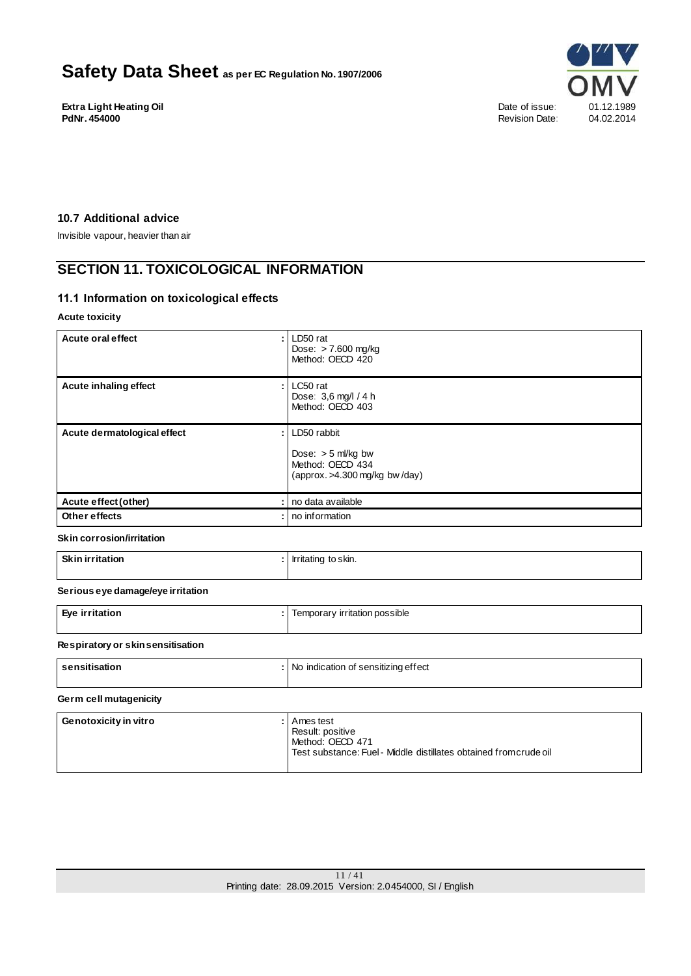**Extra Light Heating Oil** Date of issue: 01.12.1989 **PdNr. 454000** Revision Date: 04.02.2014

### **10.7 Additional advice**

Invisible vapour, heavier than air

## **SECTION 11. TOXICOLOGICAL INFORMATION**

### **11.1 Information on toxicological effects**

**Acute toxicity**

| Acute oral effect           | LD50 rat<br>Dose: $> 7.600$ mg/kg<br>Method: OECD 420                                      |
|-----------------------------|--------------------------------------------------------------------------------------------|
| Acute inhaling effect       | LC50 rat<br>Dose: 3,6 mg/l / 4 h<br>Method: OECD 403                                       |
| Acute dermatological effect | LD50 rabbit<br>Dose: $>$ 5 ml/kg bw<br>Method: OECD 434<br>(approx. $>4.300$ mg/kg bw/day) |
| Acute effect (other)        | no data available                                                                          |
| Other effects               | no information                                                                             |

**Skin corrosion/irritation**

| Skin | skin.<br><b>Irritating</b><br>ັ |
|------|---------------------------------|
|      |                                 |

### **Serious eye damage/eye irritation**

| Eye irritation | Temporary irritation possible |
|----------------|-------------------------------|
|                |                               |
|                |                               |

### **Respiratory or skin sensitisation**

| .ser<br>. | indication of sensitizing effect<br>I NO<br>. |
|-----------|-----------------------------------------------|
|           |                                               |

### **Germ cell mutagenicity**

| <b>Genotoxicity in vitro</b> | : Ames test<br>Result: positive<br>Method: OECD 471<br>Test substance: Fuel - Middle distillates obtained from crude oil |
|------------------------------|--------------------------------------------------------------------------------------------------------------------------|
|                              |                                                                                                                          |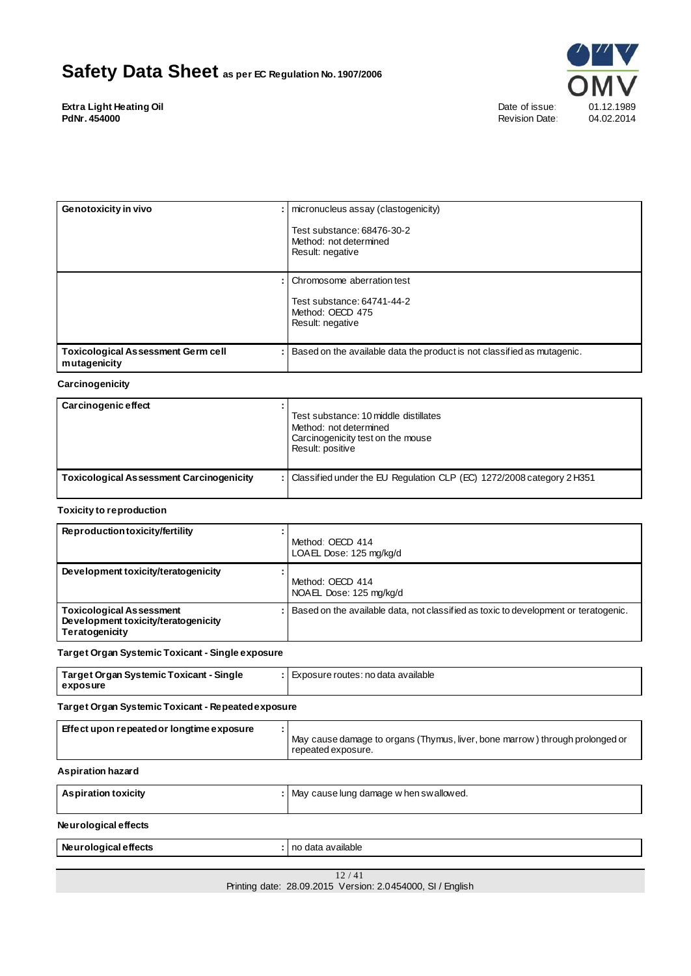

**Extra Light Heating Oil** Date of issue: 01.12.1989 **PdNr. 454000** Revision Date: 04.02.2014

| Genotoxicity in vivo                                       | :   micronucleus assay (clastogenicity)                                                          |
|------------------------------------------------------------|--------------------------------------------------------------------------------------------------|
|                                                            | Test substance: 68476-30-2<br>Method: not determined<br>Result: negative                         |
|                                                            | Chromosome aberration test<br>Test substance: 64741-44-2<br>Method: OECD 475<br>Result: negative |
| <b>Toxicological Assessment Germ cell</b><br>m utagenicity | Based on the available data the product is not classified as mutagenic.                          |

### **Carcinogenicity**

| Carcinogenic effect                      | Test substance: 10 middle distillates<br>Method: not determined<br>Carcinogenicity test on the mouse<br>Result: positive |
|------------------------------------------|--------------------------------------------------------------------------------------------------------------------------|
| Toxicological Assessment Carcinogenicity | Classified under the EU Regulation CLP (EC) 1272/2008 category 2 H351                                                    |

#### **Toxicity to reproduction**

| Reproduction toxicity/fertility                                                          | Method: OECD 414<br>LOAEL Dose: 125 mg/kg/d                                         |
|------------------------------------------------------------------------------------------|-------------------------------------------------------------------------------------|
| Development toxicity/teratogenicity                                                      | Method: OECD 414<br>NOAEL Dose: 125 mg/kg/d                                         |
| <b>Toxicological Assessment</b><br>Development toxicity/teratogenicity<br>Teratogenicity | Based on the available data, not classified as toxic to development or teratogenic. |

### **Target Organ Systemic Toxicant - Single exposure**

| Target Organ Systemic Toxicant - Single | l Exposure routes: no data available |
|-----------------------------------------|--------------------------------------|
| <i>exposure</i>                         |                                      |

**Target Organ Systemic Toxicant - Repeated exposure**

| Effect upon repeated or longtime exposure | May cause damage to organs (Thymus, liver, bone marrow) through prolonged or<br>repeated exposure. |  |
|-------------------------------------------|----------------------------------------------------------------------------------------------------|--|
| Aspiration hazard                         |                                                                                                    |  |
| <b>Aspiration toxicity</b>                | May cause lung damage when swallowed.                                                              |  |
| Neurological effects                      |                                                                                                    |  |
| Neurological effects                      | no data available                                                                                  |  |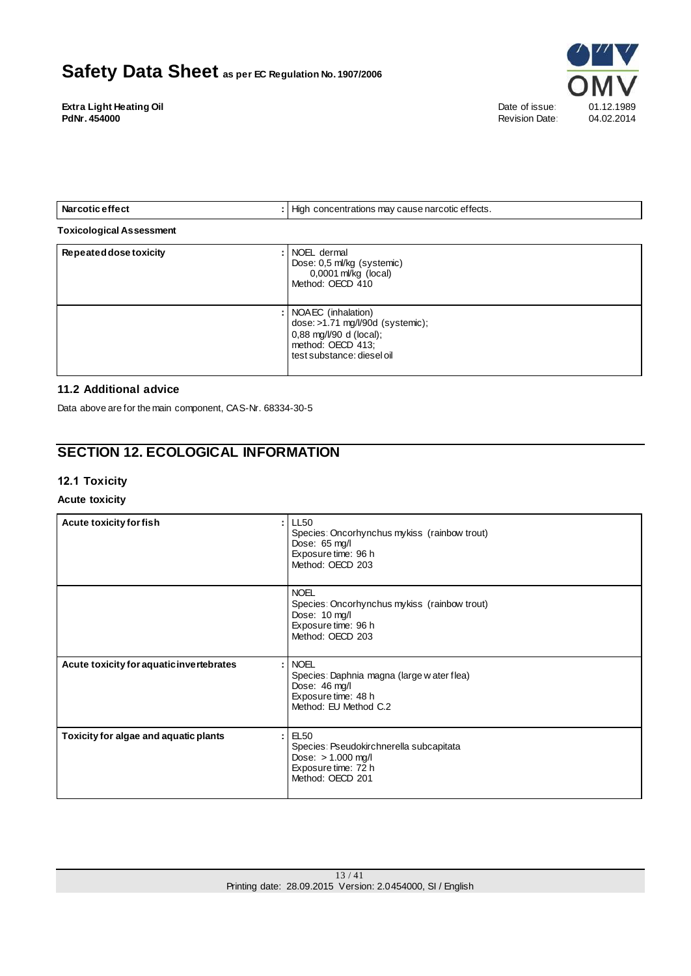**Extra Light Heating Oil** Date of issue: 01.12.1989 **PdNr. 454000** Revision Date: 04.02.2014



| Narcotic effect                 | High concentrations may cause narcotic effects. |
|---------------------------------|-------------------------------------------------|
| <b>Toxicological Assessment</b> |                                                 |

### cologica

| Repeated dose toxicity | : NOEL dermal<br>Dose: 0,5 ml/kg (systemic)<br>$0,0001$ ml/kg (local)<br>Method: OECD 410                                                                           |
|------------------------|---------------------------------------------------------------------------------------------------------------------------------------------------------------------|
|                        | $:  $ NOAEC (inhalation)<br>dose: >1.71 mg/l/90d (systemic);<br>$0,88 \text{ mg}/\text{l}/90 \text{ d}$ (local);<br>method: OECD 413;<br>test substance: diesel oil |

### **11.2 Additional advice**

Data above are for the main component, CAS-Nr. 68334-30-5

# **SECTION 12. ECOLOGICAL INFORMATION**

### **12.1 Toxicity**

### **Acute toxicity**

| Acute toxicity for fish                         | <b>LL50</b><br>Species: Oncorhynchus mykiss (rainbow trout)<br>Dose: $65 \text{ mg/l}$<br>Exposure time: 96 h<br>Method: OECD 203 |
|-------------------------------------------------|-----------------------------------------------------------------------------------------------------------------------------------|
|                                                 | <b>NOEL</b><br>Species: Oncorhynchus mykiss (rainbow trout)<br>Dose: 10 mg/l<br>Exposure time: 96 h<br>Method: OECD 203           |
| Acute toxicity for aquatic invertebrates<br>: 1 | <b>NOEL</b><br>Species: Daphnia magna (large w ater flea)<br>Dose: 46 mg/l<br>Exposure time: 48 h<br>Method: EU Method C.2        |
| Toxicity for algae and aquatic plants           | EL50<br>Species: Pseudokirchnerella subcapitata<br>Dose: $> 1.000$ mg/l<br>Exposure time: 72 h<br>Method: OECD 201                |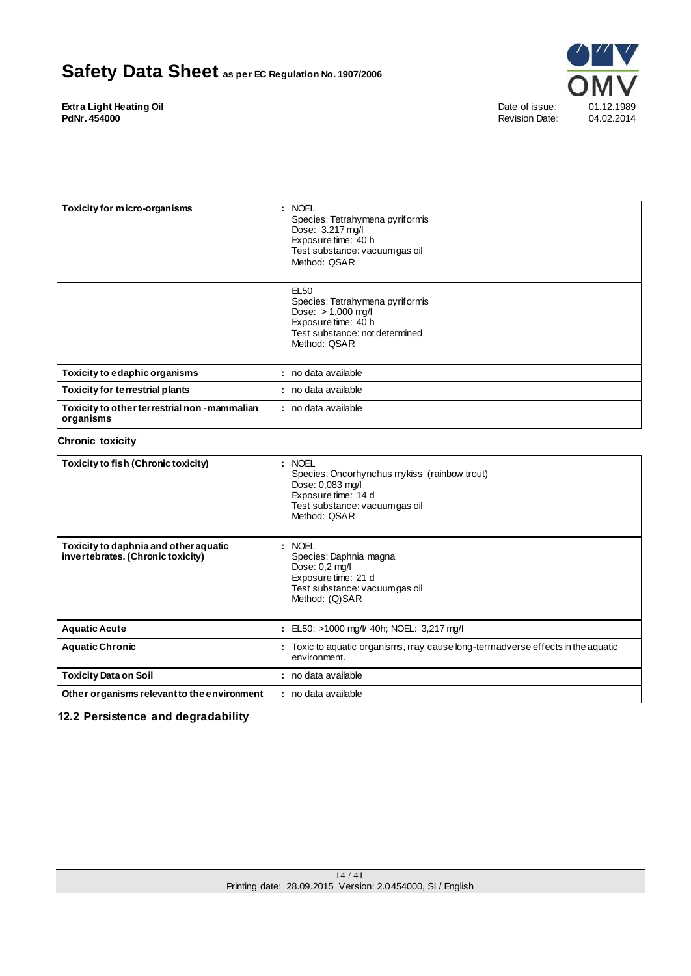**Extra Light Heating Oil** Date of issue: 01.12.1989 **PdNr. 454000** Revision Date: 04.02.2014



| Toxicity for micro-organisms<br>зI                       | <b>NOEL</b><br>Species: Tetrahymena pyriformis<br>Dose: 3.217 mg/l<br>Exposure time: 40 h<br>Test substance: vacuumgas oil<br>Method: QSAR |
|----------------------------------------------------------|--------------------------------------------------------------------------------------------------------------------------------------------|
|                                                          | EL50<br>Species: Tetrahymena pyriformis<br>Dose: $> 1.000$ mg/l<br>Exposure time: 40 h<br>Test substance: not determined<br>Method: QSAR   |
| Toxicity to edaphic organisms                            | no data available                                                                                                                          |
| <b>Toxicity for terrestrial plants</b><br>: 1            | no data available                                                                                                                          |
| Toxicity to other terrestrial non-mammalian<br>organisms | : I no data available                                                                                                                      |

### **Chronic toxicity**

| <b>Toxicity to fish (Chronic toxicity)</b>                                 | <b>NOEL</b><br>Species: Oncorhynchus mykiss (rainbow trout)<br>Dose: 0,083 mg/l<br>Exposure time: 14 d<br>Test substance: vacuumgas oil<br>Method: QSAR |
|----------------------------------------------------------------------------|---------------------------------------------------------------------------------------------------------------------------------------------------------|
| Toxicity to daphnia and other aquatic<br>invertebrates. (Chronic toxicity) | <b>NOEL</b><br>Species: Daphnia magna<br>Dose: $0.2 \text{ mg/l}$<br>Exposure time: 21 d<br>Test substance: vacuum gas oil<br>Method: (Q)SAR            |
| <b>Aquatic Acute</b>                                                       | EL50: >1000 mg/l/ 40h; NOEL: 3,217 mg/l                                                                                                                 |
| <b>Aquatic Chronic</b>                                                     | Toxic to aquatic organisms, may cause long-termadverse effects in the aquatic<br>environment.                                                           |
| <b>Toxicity Data on Soil</b>                                               | no data available                                                                                                                                       |
| Other organisms relevant to the environment                                | no data available                                                                                                                                       |

## **12.2 Persistence and degradability**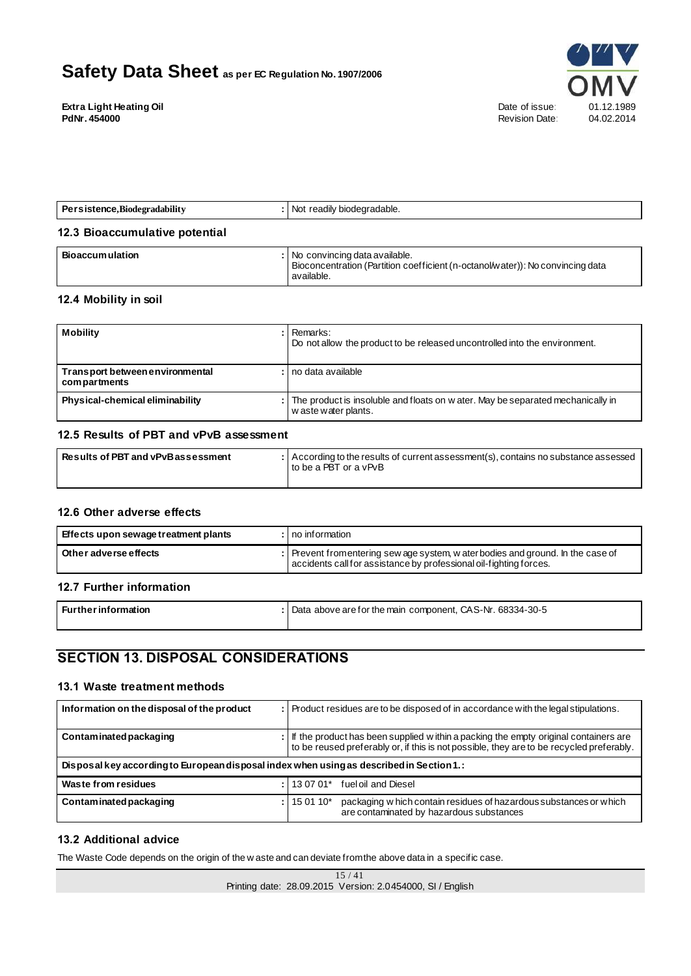

| Persistence, Biodegradability                                                                                                                                                                                                                                                                                                                                                                                | Not readily biodegradable. |
|--------------------------------------------------------------------------------------------------------------------------------------------------------------------------------------------------------------------------------------------------------------------------------------------------------------------------------------------------------------------------------------------------------------|----------------------------|
| $\overline{AB}$ $\overline{BC}$ $\overline{BC}$ $\overline{BC}$ $\overline{BC}$ $\overline{BC}$ $\overline{BC}$ $\overline{BC}$ $\overline{BC}$ $\overline{BC}$ $\overline{BC}$ $\overline{BC}$ $\overline{BC}$ $\overline{BC}$ $\overline{BC}$ $\overline{BC}$ $\overline{BC}$ $\overline{BC}$ $\overline{BC}$ $\overline{BC}$ $\overline{BC}$ $\overline{BC}$ $\overline{BC}$ $\overline{BC}$ $\overline{$ |                            |

### **12.3 Bioaccumulative potential**

| <b>Bioaccumulation</b> | : No convincing data available.<br>Bioconcentration (Partition coefficient (n-octanol/water)): No convincing data<br>available. |
|------------------------|---------------------------------------------------------------------------------------------------------------------------------|
|------------------------|---------------------------------------------------------------------------------------------------------------------------------|

## **12.4 Mobility in soil**

| <b>Mobility</b>                                 | : Remarks:<br>Do not allow the product to be released uncontrolled into the environment.                  |
|-------------------------------------------------|-----------------------------------------------------------------------------------------------------------|
| Transport between environmental<br>compartments | : I no data available                                                                                     |
| Physical-chemical eliminability                 | : The product is insoluble and floats on w ater. May be separated mechanically in<br>w aste water plants. |

## **12.5 Results of PBT and vPvB assessment**

| l Results of PBT and vPvBassessment | : According to the results of current assessment(s), contains no substance assessed<br>I to be a PBT or a vPvB |
|-------------------------------------|----------------------------------------------------------------------------------------------------------------|
|                                     |                                                                                                                |

### **12.6 Other adverse effects**

| Effects upon sewage treatment plants | : I no information                                                                                                                                     |  |
|--------------------------------------|--------------------------------------------------------------------------------------------------------------------------------------------------------|--|
| Other adverse effects                | :   Prevent fromentering sew age system, w aterbodies and ground. In the case of<br>accidents call for assistance by professional oil-fighting forces. |  |
| 12.7 Further information             |                                                                                                                                                        |  |
| <b>Further information</b>           | : Data above are for the main component, CAS-Nr. 68334-30-5                                                                                            |  |

## **SECTION 13. DISPOSAL CONSIDERATIONS**

### **13.1 Waste treatment methods**

| Information on the disposal of the product                                               | :   Product residues are to be disposed of in accordance with the legal stipulations.                                                                                              |  |
|------------------------------------------------------------------------------------------|------------------------------------------------------------------------------------------------------------------------------------------------------------------------------------|--|
| Contam inated packaging                                                                  | : If the product has been supplied w ithin a packing the empty original containers are<br>to be reused preferably or, if this is not possible, they are to be recycled preferably. |  |
| Disposal key according to European disposal index when using as described in Section 1.: |                                                                                                                                                                                    |  |
| Waste from residues                                                                      | fuel oil and Diesel<br>:   13 07 01*                                                                                                                                               |  |
| Contam inated packaging                                                                  | packaging w hich contain residues of hazardous substances or which<br>$: 150110*$<br>are contaminated by hazardous substances                                                      |  |

### **13.2 Additional advice**

The Waste Code depends on the origin of the w aste and can deviate from the above data in a specific case.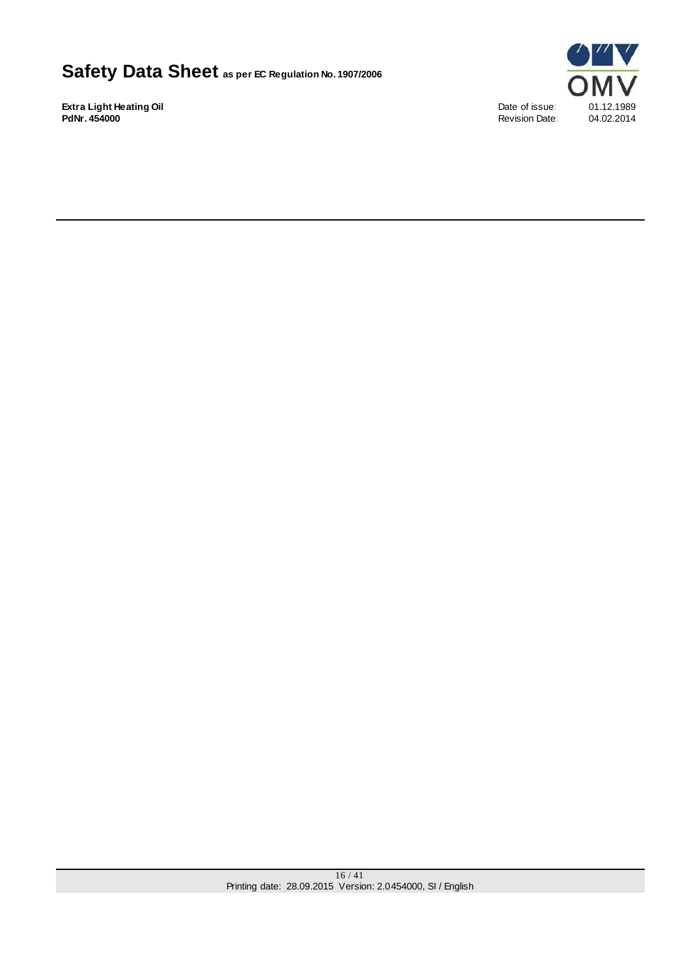**Extra Light Heating Oil** Date of issue: 01.12.1989 **PdNr. 454000** Revision Date: 04.02.2014

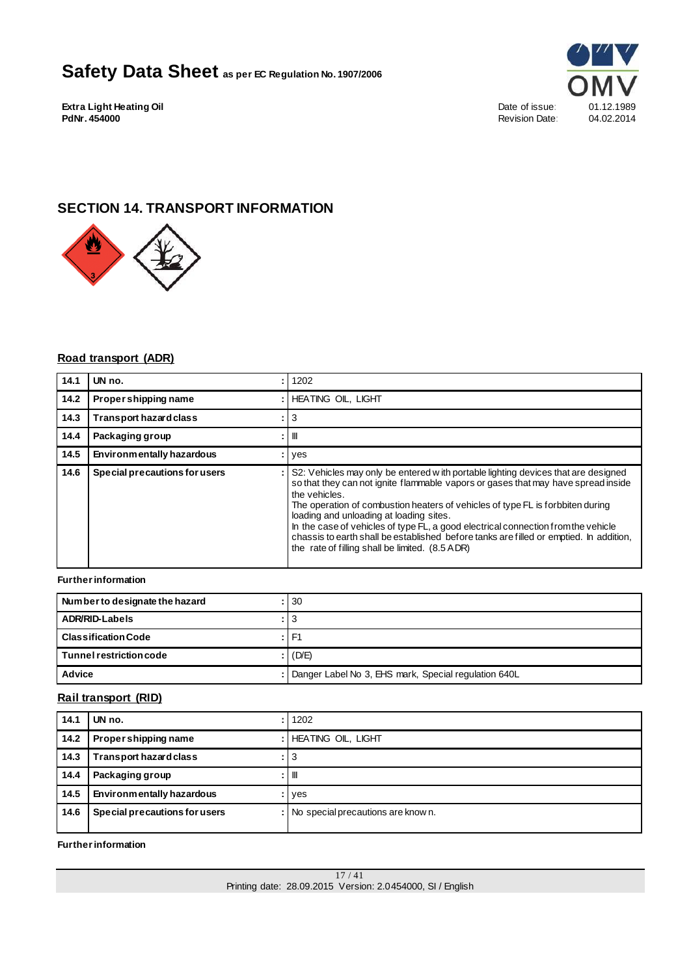

**Extra Light Heating Oil** Date of issue: 01.12.1989 **PdNr. 454000** Revision Date: 04.02.2014

# **SECTION 14. TRANSPORT INFORMATION**



### **Road transport (ADR)**

| 14.1 | UN no.                        | 1202                                                                                                                                                                                                                                                                                                                                                                                                                                                                                                                                                   |
|------|-------------------------------|--------------------------------------------------------------------------------------------------------------------------------------------------------------------------------------------------------------------------------------------------------------------------------------------------------------------------------------------------------------------------------------------------------------------------------------------------------------------------------------------------------------------------------------------------------|
| 14.2 | Proper shipping name          | <b>HEATING OIL, LIGHT</b>                                                                                                                                                                                                                                                                                                                                                                                                                                                                                                                              |
| 14.3 | <b>Transport hazard class</b> | 3                                                                                                                                                                                                                                                                                                                                                                                                                                                                                                                                                      |
| 14.4 | Packaging group               | Ш                                                                                                                                                                                                                                                                                                                                                                                                                                                                                                                                                      |
| 14.5 | Environmentally hazardous     | yes                                                                                                                                                                                                                                                                                                                                                                                                                                                                                                                                                    |
| 14.6 | Special precautions for users | S2: Vehicles may only be entered with portable lighting devices that are designed<br>so that they can not ignite flammable vapors or gases that may have spread inside<br>the vehicles.<br>The operation of combustion heaters of vehicles of type FL is forbbiten during<br>loading and unloading at loading sites.<br>In the case of vehicles of type FL, a good electrical connection from the vehicle<br>chassis to earth shall be established before tanks are filled or emptied. In addition,<br>the rate of filling shall be limited. (8.5 ADR) |

#### **Further information**

| Number to designate the hazard | : 30                                                   |
|--------------------------------|--------------------------------------------------------|
| <b>ADR/RID-Labels</b>          | :13                                                    |
| <b>Classification Code</b>     | : IF1                                                  |
| <b>Tunnel restriction code</b> | :   (D/E)                                              |
| <b>Advice</b>                  | : Danger Label No 3, EHS mark, Special regulation 640L |

## **Rail transport (RID)**

| 14.1 | UN no.                        | 1202                               |
|------|-------------------------------|------------------------------------|
| 14.2 | Proper shipping name          | HEATING OIL, LIGHT                 |
| 14.3 | Transport hazard class        | Ι3                                 |
| 14.4 | Packaging group               | H                                  |
| 14.5 | Environmentally hazardous     | yes                                |
| 14.6 | Special precautions for users | No special precautions are know n. |
|      |                               |                                    |

### **Further information**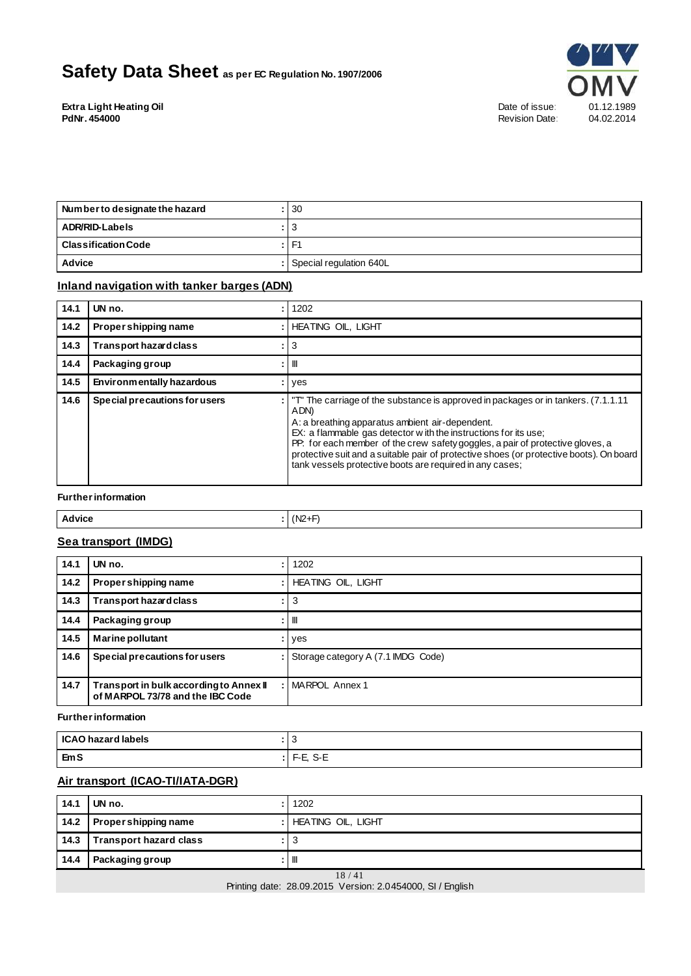

**Extra Light Heating Oil** Date of issue: 01.12.1989 **PdNr. 454000** Revision Date: 04.02.2014

| Number to designate the hazard | 30                        |
|--------------------------------|---------------------------|
| ADR/RID-Labels                 | -3                        |
| Classification Code            | ı F1                      |
| Advice                         | : Special regulation 640L |

### **Inland navigation with tanker barges (ADN)**

| 14.1 | UN no.<br>۰.                         | 1202                                                                                                                                                                                                                                                                                                                                                                                                                                                       |
|------|--------------------------------------|------------------------------------------------------------------------------------------------------------------------------------------------------------------------------------------------------------------------------------------------------------------------------------------------------------------------------------------------------------------------------------------------------------------------------------------------------------|
| 14.2 | Proper shipping name                 | HEATING OIL, LIGHT                                                                                                                                                                                                                                                                                                                                                                                                                                         |
| 14.3 | Transport hazard class<br>Ĩ.         | 3                                                                                                                                                                                                                                                                                                                                                                                                                                                          |
| 14.4 | Packaging group                      | Ш                                                                                                                                                                                                                                                                                                                                                                                                                                                          |
| 14.5 | Environmentally hazardous<br>÷.      | yes                                                                                                                                                                                                                                                                                                                                                                                                                                                        |
| 14.6 | Special precautions for users<br>: 1 | "T" The carriage of the substance is approved in packages or in tankers. (7.1.1.11)<br>ADN)<br>A: a breathing apparatus ambient air-dependent.<br>EX: a flammable gas detector with the instructions for its use;<br>PP. for each member of the crew safety goggles, a pair of protective gloves, a<br>protective suit and a suitable pair of protective shoes (or protective boots). On board<br>tank vessels protective boots are required in any cases; |

### **Further information**

| Advice | $\sim$ $\sim$<br>7 N |
|--------|----------------------|
|        |                      |

## **Sea transport (IMDG)**

| 14.1 | UN no.                                                                      | : 1            | 1202                               |
|------|-----------------------------------------------------------------------------|----------------|------------------------------------|
| 14.2 | Proper shipping name                                                        | : 1            | HEATING OIL, LIGHT                 |
| 14.3 | <b>Transport hazard class</b>                                               | ۰.             | 3                                  |
| 14.4 | Packaging group                                                             | $\blacksquare$ | Ш                                  |
| 14.5 | <b>Marine pollutant</b>                                                     |                | : ves                              |
| 14.6 | Special precautions for users                                               |                | Storage category A (7.1 IMDG Code) |
| 14.7 | Transport in bulk according to Annex II<br>of MARPOL 73/78 and the IBC Code |                | : MARPOL Annex 1                   |

### **Further information**

| <b>ICAO hazard labels</b> |                            |
|---------------------------|----------------------------|
| <b>EmS</b><br>. .         | $\sim$ $\sim$<br>੦-⊏<br>-- |

## **Air transport (ICAO-TI/IATA-DGR)**

| 14.1  | UN no.                               | 1202                      |
|-------|--------------------------------------|---------------------------|
| 14.2  | Proper shipping name                 | <b>HEATING OIL, LIGHT</b> |
| 14.3  | <b>Transport hazard class</b><br>. . | -3                        |
| 14.4  | Packaging group                      | H                         |
| 10/41 |                                      |                           |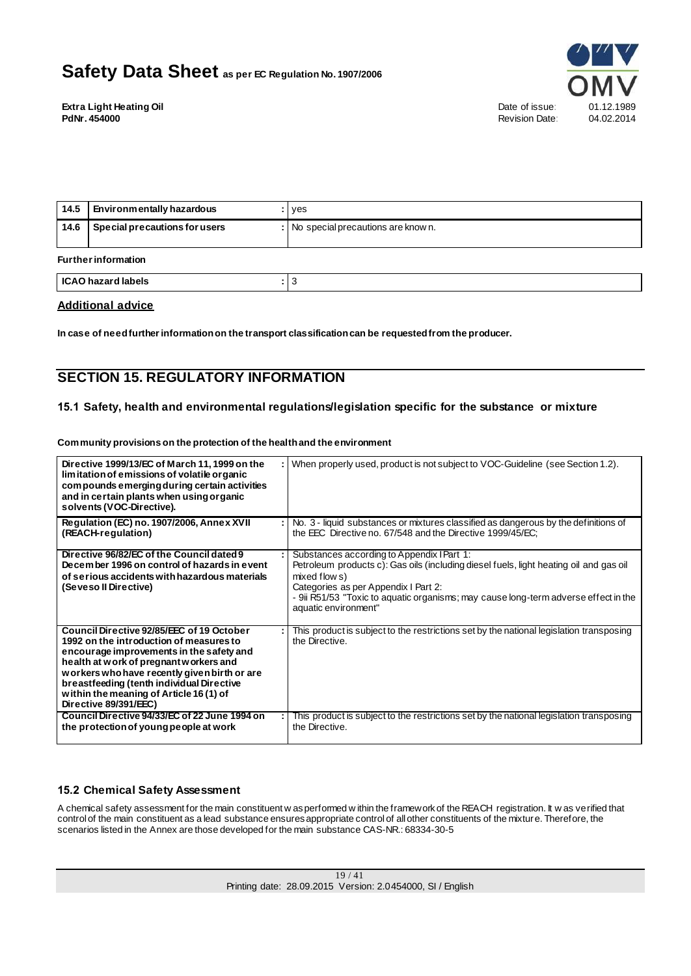

**Extra Light Heating Oil** Date of issue: 01.12.1989 **PdNr. 454000** Revision Date: 04.02.2014

| 14.5 | Environmentally hazardous     | : I ves                              |
|------|-------------------------------|--------------------------------------|
| 14.6 | Special precautions for users | : No special precautions are know n. |
|      | <b>Further information</b>    |                                      |
|      | <b>ICAO hazard labels</b>     | 3                                    |

### **Additional advice**

**In case of need further information on the transport classification can be requested from the producer.**

## **SECTION 15. REGULATORY INFORMATION**

### **15.1 Safety, health and environmental regulations/legislation specific for the substance or mixture**

# **Community provisions on the protection of the health and the environment**

| Directive 1999/13/EC of March 11, 1999 on the<br>limitation of emissions of volatile organic<br>compounds emerging during certain activities<br>and in certain plants when using organic<br>solvents (VOC-Directive).                                                                                                                      | When properly used, product is not subject to VOC-Guideline (see Section 1.2).                                                                                                                                                                                                                                 |
|--------------------------------------------------------------------------------------------------------------------------------------------------------------------------------------------------------------------------------------------------------------------------------------------------------------------------------------------|----------------------------------------------------------------------------------------------------------------------------------------------------------------------------------------------------------------------------------------------------------------------------------------------------------------|
| Regulation (EC) no. 1907/2006, Annex XVII<br>(REACH-regulation)                                                                                                                                                                                                                                                                            | No. 3 - liquid substances or mixtures classified as dangerous by the definitions of<br>the EEC Directive no. 67/548 and the Directive 1999/45/EC;                                                                                                                                                              |
| Directive 96/82/EC of the Council dated 9<br>December 1996 on control of hazards in event<br>of serious accidents with hazardous materials<br>(Seveso II Directive)                                                                                                                                                                        | Substances according to Appendix I Part 1:<br>Petroleum products c): Gas oils (including diesel fuels, light heating oil and gas oil<br>$mixed$ flow s)<br>Categories as per Appendix I Part 2:<br>- 9ii R51/53 "Toxic to aquatic organisms; may cause long-term adverse effect in the<br>aquatic environment" |
| Council Directive 92/85/EEC of 19 October<br>1992 on the introduction of measures to<br>encourage improvements in the safety and<br>health at work of pregnant workers and<br>workers who have recently given birth or are<br>breastfeeding (tenth individual Directive<br>within the meaning of Article 16(1) of<br>Directive 89/391/EEC) | This product is subject to the restrictions set by the national legislation transposing<br>the Directive.                                                                                                                                                                                                      |
| Council Directive 94/33/EC of 22 June 1994 on<br>the protection of young people at work                                                                                                                                                                                                                                                    | This product is subject to the restrictions set by the national legislation transposing<br>the Directive.                                                                                                                                                                                                      |

### **15.2 Chemical Safety Assessment**

A chemical safety assessment for the main constituent w as performed w ithin the framework of the REACH registration. It w as verified that control of the main constituent as a lead substance ensures appropriate control of all other constituents of the mixture. Therefore, the scenarios listed in the Annex are those developed for the main substance CAS-NR.: 68334-30-5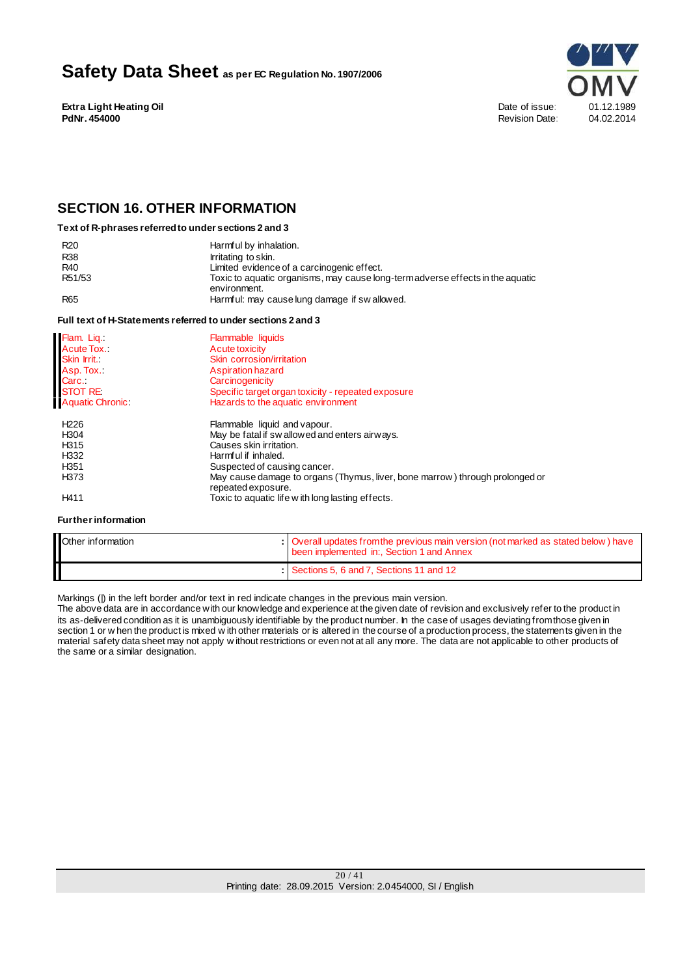**Extra Light Heating Oil** Date of issue: 01.12.1989 **PdNr. 454000** Revision Date: 04.02.2014



## **SECTION 16. OTHER INFORMATION**

#### **Text of R-phrases referred to under sections 2 and 3**

| R <sub>20</sub>     | Harmful by inhalation.                                                                        |
|---------------------|-----------------------------------------------------------------------------------------------|
| R38                 | Irritating to skin.                                                                           |
| R40                 | Limited evidence of a carcinogenic effect.                                                    |
| R <sub>51</sub> /53 | Toxic to aquatic organisms, may cause long-termadverse effects in the aquatic<br>environment. |
| R65                 | Harmful: may cause lung damage if swallowed.                                                  |

#### **Full text of H-Statements referred to under sections 2 and 3**

| Flam. Lig.             | Flammable liquids                                                                                  |
|------------------------|----------------------------------------------------------------------------------------------------|
| Acute Tox.             | A cute toxicity                                                                                    |
| Skin Irrit.            | Skin corrosion/irritation                                                                          |
| Asp. Tox.              | <b>Aspiration hazard</b>                                                                           |
| Carc.                  | Carcinogenicity                                                                                    |
| <b>STOT RE</b>         | Specific target organ toxicity - repeated exposure                                                 |
| <b>Aquatic Chronic</b> | Hazards to the aquatic environment                                                                 |
| H <sub>226</sub>       | Flammable liquid and vapour.                                                                       |
| H <sub>304</sub>       | May be fatal if sw allowed and enters airways.                                                     |
| H <sub>315</sub>       | Causes skin irritation.                                                                            |
| H <sub>332</sub>       | Harmful if inhaled.                                                                                |
| H <sub>351</sub>       | Suspected of causing cancer.                                                                       |
| H <sub>3</sub> 73      | May cause damage to organs (Thymus, liver, bone marrow) through prolonged or<br>repeated exposure. |
| H411                   | Toxic to aquatic life w ith long lasting effects.                                                  |

#### **Further information**

| Other information | :   Overall updates from the previous main version (not marked as stated below) have<br>been implemented in:, Section 1 and Annex |
|-------------------|-----------------------------------------------------------------------------------------------------------------------------------|
|                   | Sections 5, 6 and 7, Sections 11 and 12                                                                                           |

Markings (|) in the left border and/or text in red indicate changes in the previous main version.

The above data are in accordance with our knowledge and experience at the given date of revision and exclusively refer to the product in its as-delivered condition as it is unambiguously identifiable by the product number. In the case of usages deviating from those given in section 1 or w hen the product is mixed w ith other materials or is altered in the course of a production process, the statements given in the material safety data sheet may not apply w ithout restrictions or even not at all any more. The data are not applicable to other products of the same or a similar designation.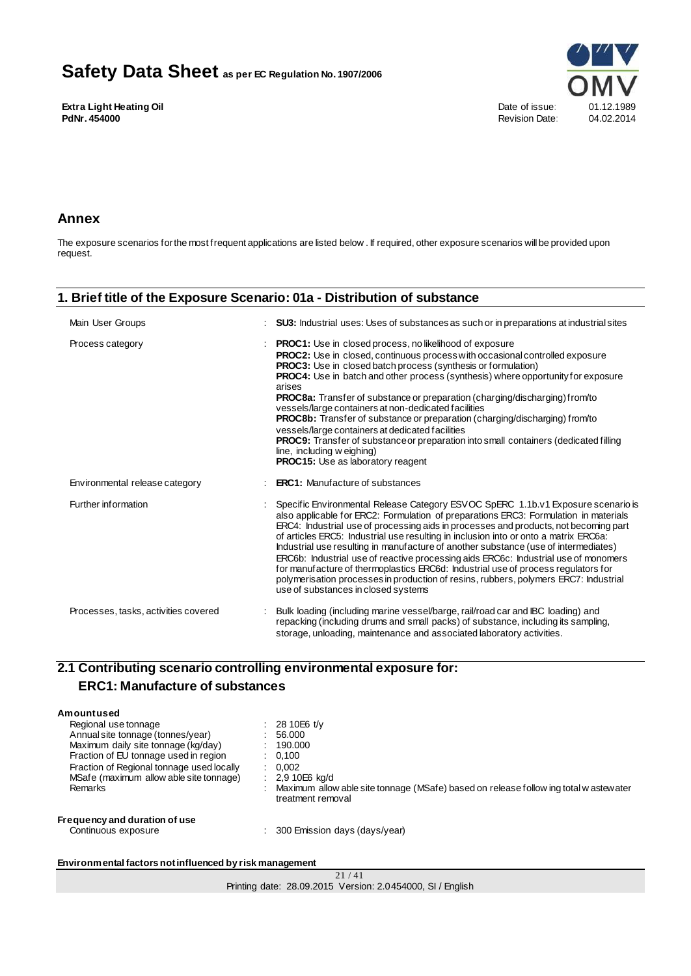**Extra Light Heating Oil** Date of issue: 01.12.1989 **PdNr. 454000** Revision Date: 04.02.2014



## **Annex**

The exposure scenarios for the most frequent applications are listed below . If required, other exposure scenarios will be provided upon request.

## **1. Brief title of the Exposure Scenario: 01a - Distribution of substance**

| Main User Groups                     | <b>SU3:</b> Industrial uses: Uses of substances as such or in preparations at industrial sites                                                                                                                                                                                                                                                                                                                                                                                                                                                                                                                                                                                                                                                                                        |
|--------------------------------------|---------------------------------------------------------------------------------------------------------------------------------------------------------------------------------------------------------------------------------------------------------------------------------------------------------------------------------------------------------------------------------------------------------------------------------------------------------------------------------------------------------------------------------------------------------------------------------------------------------------------------------------------------------------------------------------------------------------------------------------------------------------------------------------|
| Process category                     | <b>PROC1:</b> Use in closed process, no likelihood of exposure<br>PROC2: Use in closed, continuous process with occasional controlled exposure<br><b>PROC3:</b> Use in closed batch process (synthesis or formulation)<br><b>PROC4:</b> Use in batch and other process (synthesis) where opportunity for exposure<br>arises<br><b>PROC8a:</b> Transfer of substance or preparation (charging/discharging) from/to<br>vessels/large containers at non-dedicated facilities<br>PROC8b: Transfer of substance or preparation (charging/discharging) from/to<br>vessels/large containers at dedicated facilities<br><b>PROC9:</b> Transfer of substance or preparation into small containers (dedicated filling<br>line, including w eighing)<br><b>PROC15:</b> Use as laboratory reagent |
| Environmental release category       | <b>ERC1:</b> Manufacture of substances                                                                                                                                                                                                                                                                                                                                                                                                                                                                                                                                                                                                                                                                                                                                                |
| Further information                  | Specific Environmental Release Category ESVOC SpERC 1.1b.v1 Exposure scenario is<br>also applicable for ERC2: Formulation of preparations ERC3: Formulation in materials<br>ERC4: Industrial use of processing aids in processes and products, not becoming part<br>of articles ERC5: Industrial use resulting in inclusion into or onto a matrix ERC6a:<br>Industrial use resulting in manufacture of another substance (use of intermediates)<br>ERC6b: Industrial use of reactive processing aids ERC6c: Industrial use of monomers<br>for manufacture of thermoplastics ERC6d: Industrial use of process regulators for<br>polymerisation processes in production of resins, rubbers, polymers ERC7: Industrial<br>use of substances in closed systems                            |
| Processes, tasks, activities covered | Bulk loading (including marine vessel/barge, rail/road car and IBC loading) and<br>repacking (including drums and small packs) of substance, including its sampling,<br>storage, unloading, maintenance and associated laboratory activities.                                                                                                                                                                                                                                                                                                                                                                                                                                                                                                                                         |

## **2.1 Contributing scenario controlling environmental exposure for: ERC1: Manufacture of substances**

| Amountused                                                                                                                                                                                                                                   |                                                                                                                                                                                                 |
|----------------------------------------------------------------------------------------------------------------------------------------------------------------------------------------------------------------------------------------------|-------------------------------------------------------------------------------------------------------------------------------------------------------------------------------------------------|
| Regional use tonnage<br>Annual site tonnage (tonnes/year)<br>Maximum daily site tonnage (kg/day)<br>Fraction of EU tonnage used in region<br>Fraction of Regional tonnage used locally<br>MSafe (maximum allow able site tonnage)<br>Remarks | 28 10E6 t/y<br>56.000<br>190.000<br>: 0.100<br>0.002<br>$: 2.910E6 \text{ kg/d}$<br>Maximum allow able site tonnage (MSafe) based on release follow ing total w astew ater<br>treatment removal |
| Frequency and duration of use<br>Continuous exposure                                                                                                                                                                                         | 300 Emission days (days/year)                                                                                                                                                                   |

#### **Environmental factors not influenced by risk management**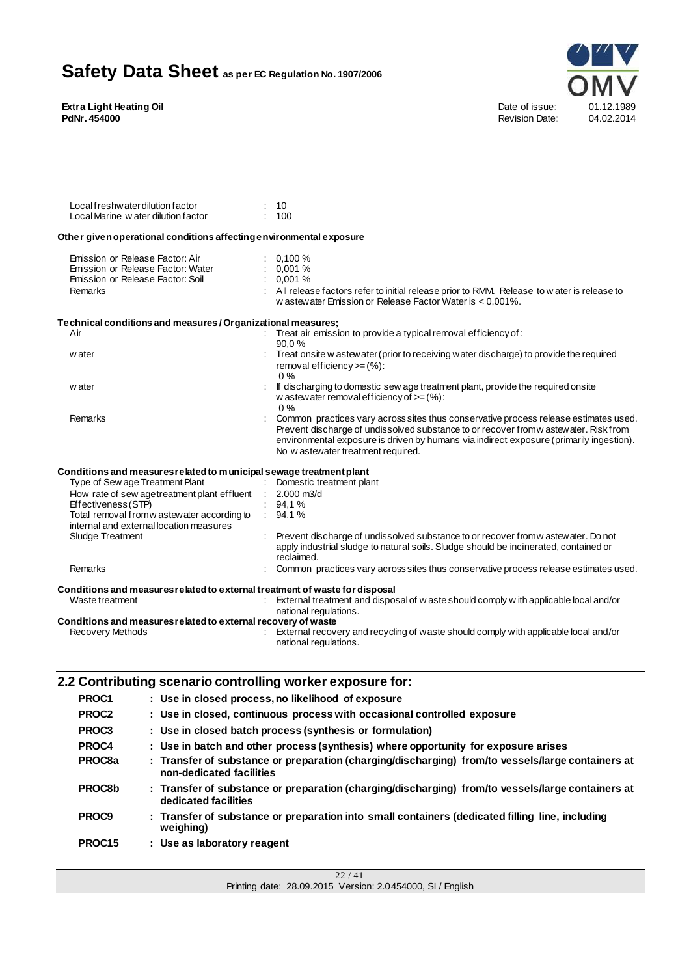**Extra Light Heating Oil** Date of issue: 01.12.1989 **PdNr. 454000** Revision Date: 04.02.2014



Local freshwater dilution factor : 10<br>
Local Marine water dilution factor : 100 Local Marine w ater dilution factor **Other given operational conditions affecting environmental exposure** Emission or Release Factor: Air : 0,100 %<br>
Emission or Release Factor: Water : 0,001 % Emission or Release Factor: Water : 0,001 %<br>
Emission or Release Factor: Soil : 0,001 % Emission or Release Factor: Soil Remarks **Examples 20 Telease factors refer to initial release prior to RMM.** Release to w ater is release to w astewater Emission or Release Factor Water is < 0,001%. **Technical conditions and measures / Organizational measures;** Air **Example 20** Air : Treat air emission to provide a typical removal efficiency of : 90,0 % w ater  $\blacksquare$ : Treat onsite w astewater (prior to receiving water discharge) to provide the required removal efficiency >= (%): 0 % w ater  $\blacksquare$ : If discharging to domestic sew age treatment plant, provide the required onsite w astewater removal efficiency of  $>=(\%)$ : 0 % Remarks **Example 20** Common practices vary across sites thus conservative process release estimates used. Prevent discharge of undissolved substance to or recover from w astewater. Risk from environmental exposure is driven by humans via indirect exposure (primarily ingestion). No w astewater treatment required. **Conditions and measures related to municipal sewage treatment plant** Type of Sew age Treatment Plant Flow rate of sew age treatment plant effluent : 2.000 m3/d Effectiveness (STP) : 94,1 % Total removal from w astewater according to internal and external location measures 94,1% Prevent discharge of undissolved substance to or recover from w astewater. Do not apply industrial sludge to natural soils. Sludge should be incinerated, contained or reclaimed. Remarks **in the matrice of the Common practices vary across sites thus conservative process release estimates used. Conditions and measures related to external treatment of waste for disposal** Waste treatment **interval of the state of the External treatment** and disposal of w aste should comply w ith applicable local and/or national regulations. **Conditions and measures related to external recovery of waste** Recovery Methods **in the covery and recovery and recycling of waste should comply with applicable local and/or** national regulations.

### **2.2 Contributing scenario controlling worker exposure for:**

| PROC1              | : Use in closed process, no likelihood of exposure                                                                            |
|--------------------|-------------------------------------------------------------------------------------------------------------------------------|
| PROC <sub>2</sub>  | : Use in closed, continuous process with occasional controlled exposure                                                       |
| PROC <sub>3</sub>  | : Use in closed batch process (synthesis or formulation)                                                                      |
| PROC4              | : Use in batch and other process (synthesis) where opportunity for exposure arises                                            |
| PROC8a             | : Transfer of substance or preparation (charging/discharging) from/to vessels/large containers at<br>non-dedicated facilities |
| PROC8b             | : Transfer of substance or preparation (charging/discharging) from/to vessels/large containers at<br>dedicated facilities     |
| PROC <sub>9</sub>  | : Transfer of substance or preparation into small containers (dedicated filling line, including<br>weighing)                  |
| PROC <sub>15</sub> | : Use as laboratory reagent                                                                                                   |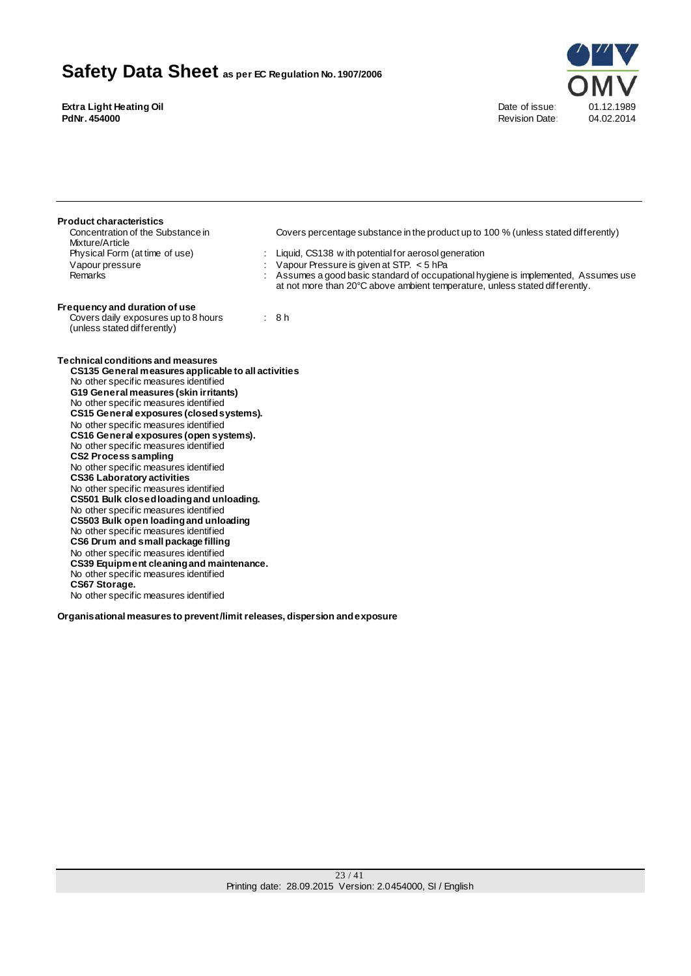**Extra Light Heating Oil** Date of issue: 01.12.1989 **PdNr. 454000** Revision Date: 04.02.2014



| <b>Product characteristics</b>                                                                  |                                                                                                                                                                  |
|-------------------------------------------------------------------------------------------------|------------------------------------------------------------------------------------------------------------------------------------------------------------------|
| Concentration of the Substance in<br>Mixture/Article                                            | Covers percentage substance in the product up to 100 % (unless stated differently)                                                                               |
| Physical Form (at time of use)                                                                  | Liquid, CS138 w ith potential for aerosol generation                                                                                                             |
| Vapour pressure                                                                                 | Vapour Pressure is given at STP. < 5 hPa                                                                                                                         |
| Remarks                                                                                         | Assumes a good basic standard of occupational hygiene is implemented, Assumes use<br>at not more than 20°C above ambient temperature, unless stated differently. |
| Frequency and duration of use                                                                   |                                                                                                                                                                  |
| Covers daily exposures up to 8 hours<br>(unless stated differently)                             | : 8h                                                                                                                                                             |
| <b>Technical conditions and measures</b><br>CS135 General measures applicable to all activities |                                                                                                                                                                  |
| No other specific measures identified                                                           |                                                                                                                                                                  |
| G19 General measures (skin irritants)                                                           |                                                                                                                                                                  |
| No other specific measures identified                                                           |                                                                                                                                                                  |
| CS15 General exposures (closed systems).                                                        |                                                                                                                                                                  |
| No other specific measures identified                                                           |                                                                                                                                                                  |
| CS16 General exposures (open systems).                                                          |                                                                                                                                                                  |
| No other specific measures identified<br><b>CS2 Process sampling</b>                            |                                                                                                                                                                  |
| No other specific measures identified                                                           |                                                                                                                                                                  |
| <b>CS36 Laboratory activities</b>                                                               |                                                                                                                                                                  |
| No other specific measures identified                                                           |                                                                                                                                                                  |
| CS501 Bulk closed loading and unloading.                                                        |                                                                                                                                                                  |
| No other specific measures identified                                                           |                                                                                                                                                                  |
| CS503 Bulk open loading and unloading                                                           |                                                                                                                                                                  |
| No other specific measures identified                                                           |                                                                                                                                                                  |
| CS6 Drum and small package filling                                                              |                                                                                                                                                                  |
| No other specific measures identified                                                           |                                                                                                                                                                  |
| CS39 Equipment cleaning and maintenance.                                                        |                                                                                                                                                                  |
| No other specific measures identified                                                           |                                                                                                                                                                  |
| CS67 Storage.<br>No other specific measures identified                                          |                                                                                                                                                                  |
|                                                                                                 |                                                                                                                                                                  |
| Organisational measures to prevent/limit releases, dispersion and exposure                      |                                                                                                                                                                  |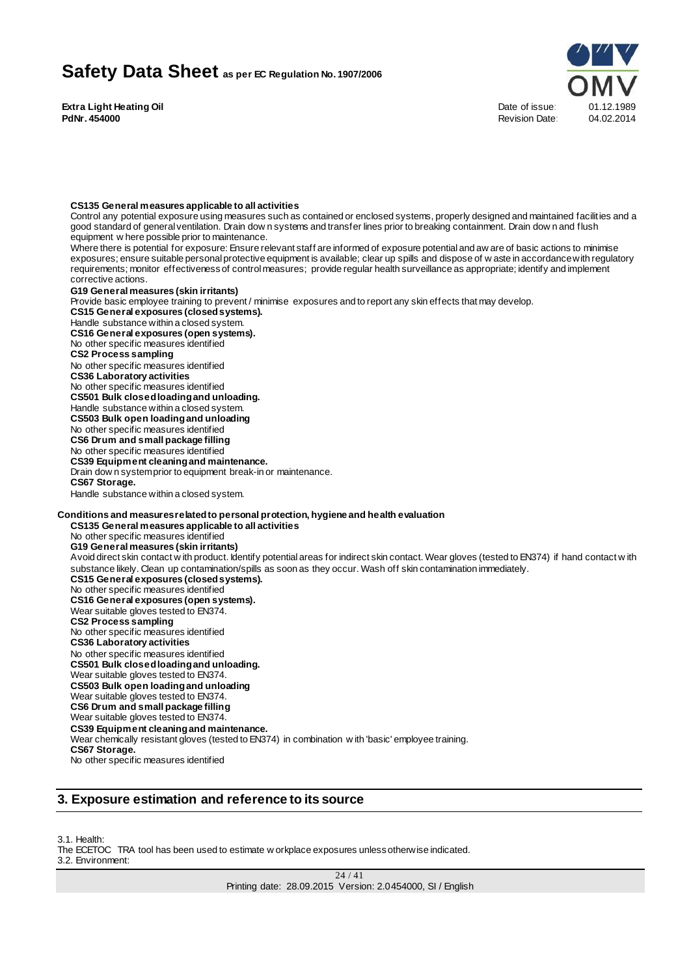**Extra Light Heating Oil** Date of issue: 01.12.1989 **PdNr. 454000** Revision Date: 04.02.2014



#### **CS135 General measures applicable to all activities**

Control any potential exposure using measures such as contained or enclosed systems, properly designed and maintained facilities and a good standard of general ventilation. Drain dow n systems and transfer lines prior to breaking containment. Drain dow n and flush equipment w here possible prior to maintenance.

Where there is potential for exposure: Ensure relevant staff are informed of exposure potential and aw are of basic actions to minimise exposures; ensure suitable personal protective equipment is available; clear up spills and dispose of w aste in accordance with regulatory requirements; monitor effectiveness of control measures; provide regular health surveillance as appropriate; identify and implement corrective actions.

**G19 General measures (skin irritants)** Provide basic employee training to prevent / minimise exposures and to report any skin effects that may develop. **CS15 General exposures (closed systems).** Handle substance within a closed system. **CS16 General exposures (open systems).** No other specific measures identified **CS2 Process sampling** No other specific measures identified **CS36 Laboratory activities** No other specific measures identified **CS501 Bulk closed loading and unloading.** Handle substance within a closed system. **CS503 Bulk open loading and unloading** No other specific measures identified **CS6 Drum and small package filling** No other specific measures identified **CS39 Equipment cleaning and maintenance.** Drain dow n system prior to equipment break-in or maintenance. **CS67 Storage.** Handle substance within a closed system.

### **Conditions and measures related to personal protection, hygiene and health evaluation**

**CS135 General measures applicable to all activities** No other specific measures identified **G19 General measures (skin irritants)** Avoid direct skin contact w ith product. Identify potential areas for indirect skin contact. Wear gloves (tested to EN374) if hand contact w ith substance likely. Clean up contamination/spills as soon as they occur. Wash off skin contamination immediately. **CS15 General exposures (closed systems).** No other specific measures identified **CS16 General exposures (open systems).** Wear suitable gloves tested to EN374. **CS2 Process sampling** No other specific measures identified **CS36 Laboratory activities** No other specific measures identified **CS501 Bulk closed loading and unloading.** Wear suitable gloves tested to EN374. **CS503 Bulk open loading and unloading** Wear suitable gloves tested to EN374. **CS6 Drum and small package filling** Wear suitable gloves tested to EN374. **CS39 Equipment cleaning and maintenance.** Wear chemically resistant gloves (tested to EN374) in combination w ith 'basic' employee training. **CS67 Storage.** No other specific measures identified

### **3. Exposure estimation and reference to its source**

3.1. Health:

The ECETOC TRA tool has been used to estimate w orkplace exposures unless otherwise indicated. 3.2. Environment: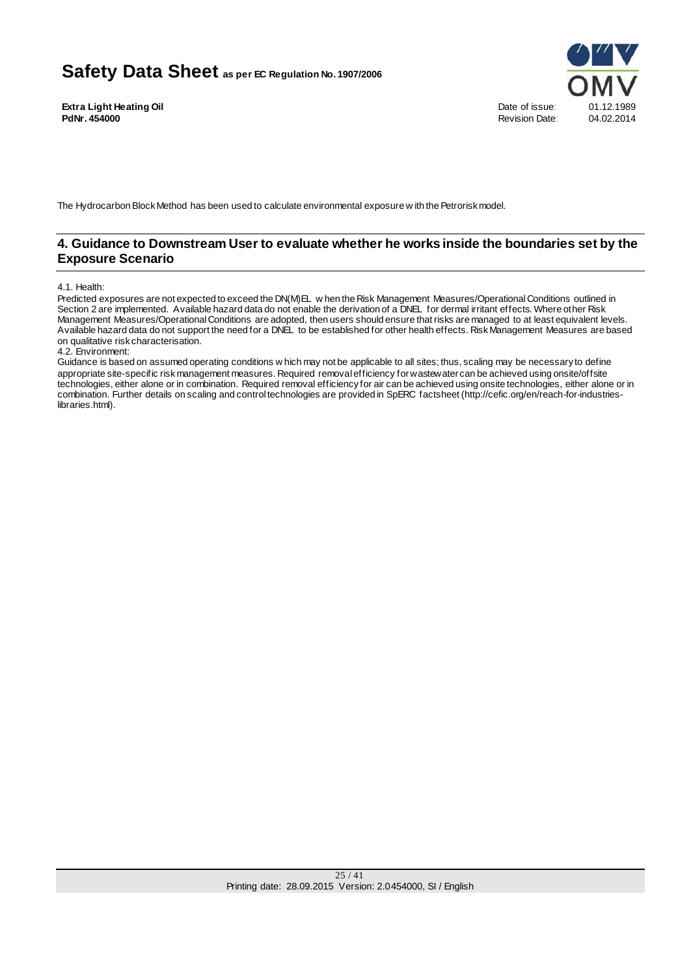**Extra Light Heating Oil** Date of issue: 01.12.1989 **PdNr. 454000** Revision Date: 04.02.2014



The Hydrocarbon Block Method has been used to calculate environmental exposure w ith the Petrorisk model.

### **4. Guidance to Downstream User to evaluate whether he works inside the boundaries set by the Exposure Scenario**

4.1. Health:

Predicted exposures are not expected to exceed the DN(M)EL w hen the Risk Management Measures/Operational Conditions outlined in Section 2 are implemented. Available hazard data do not enable the derivation of a DNEL for dermal irritant effects. Where other Risk Management Measures/Operational Conditions are adopted, then users should ensure that risks are managed to at least equivalent levels. Available hazard data do not support the need for a DNEL to be established for other health effects. Risk Management Measures are based on qualitative risk characterisation.

#### 4.2. Environment:

Guidance is based on assumed operating conditions w hich may not be applicable to all sites; thus, scaling may be necessary to define appropriate site-specific risk management measures. Required removal efficiency for wastewater can be achieved using onsite/offsite technologies, either alone or in combination. Required removal efficiency for air can be achieved using onsite technologies, either alone or in combination. Further details on scaling and control technologies are provided in SpERC factsheet (http://cefic.org/en/reach-for-industrieslibraries.html).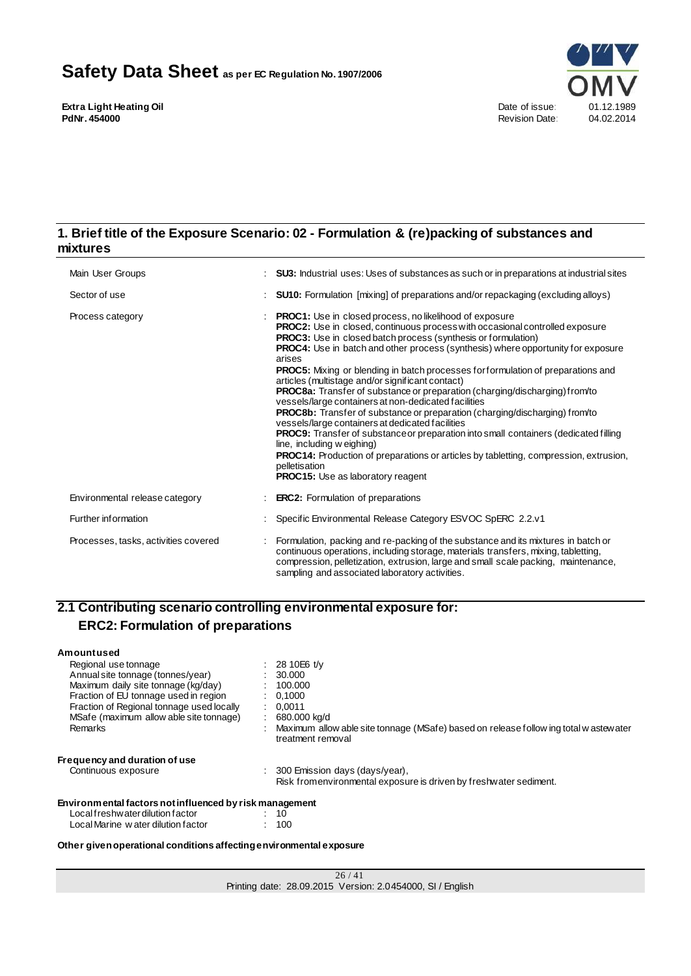**PdNr. 454000** Revision Date: 04.02.2014



## **1. Brief title of the Exposure Scenario: 02 - Formulation & (re)packing of substances and mixtures**

| Main User Groups                     | : SU3: Industrial uses: Uses of substances as such or in preparations at industrial sites                                                                                                                                                                                                                                                                                                                                                                                                                                                                                                                                                                                                                                                                                                                                                                                                                                                                                                                                                             |  |
|--------------------------------------|-------------------------------------------------------------------------------------------------------------------------------------------------------------------------------------------------------------------------------------------------------------------------------------------------------------------------------------------------------------------------------------------------------------------------------------------------------------------------------------------------------------------------------------------------------------------------------------------------------------------------------------------------------------------------------------------------------------------------------------------------------------------------------------------------------------------------------------------------------------------------------------------------------------------------------------------------------------------------------------------------------------------------------------------------------|--|
| Sector of use                        | <b>SU10:</b> Formulation [mixing] of preparations and/or repackaging (excluding alloys)                                                                                                                                                                                                                                                                                                                                                                                                                                                                                                                                                                                                                                                                                                                                                                                                                                                                                                                                                               |  |
| Process category                     | <b>PROC1:</b> Use in closed process, no likelihood of exposure<br><b>PROC2:</b> Use in closed, continuous process with occasional controlled exposure<br>PROC3: Use in closed batch process (synthesis or formulation)<br><b>PROC4:</b> Use in batch and other process (synthesis) where opportunity for exposure<br>arises<br><b>PROC5:</b> Mixing or blending in batch processes for formulation of preparations and<br>articles (multistage and/or significant contact)<br>PROC8a: Transfer of substance or preparation (charging/discharging) from/to<br>vessels/large containers at non-dedicated facilities<br><b>PROC8b:</b> Transfer of substance or preparation (charging/discharging) from/to<br>vessels/large containers at dedicated facilities<br><b>PROC9:</b> Transfer of substance or preparation into small containers (dedicated filling<br>line, including w eighing)<br><b>PROC14:</b> Production of preparations or articles by tabletting, compression, extrusion,<br>pelletisation<br><b>PROC15:</b> Use as laboratory reagent |  |
| Environmental release category       | <b>ERC2:</b> Formulation of preparations                                                                                                                                                                                                                                                                                                                                                                                                                                                                                                                                                                                                                                                                                                                                                                                                                                                                                                                                                                                                              |  |
| Further information                  | Specific Environmental Release Category ESVOC SpERC 2.2.v1                                                                                                                                                                                                                                                                                                                                                                                                                                                                                                                                                                                                                                                                                                                                                                                                                                                                                                                                                                                            |  |
| Processes, tasks, activities covered | Formulation, packing and re-packing of the substance and its mixtures in batch or<br>continuous operations, including storage, materials transfers, mixing, tabletting,<br>compression, pelletization, extrusion, large and small scale packing, maintenance,<br>sampling and associated laboratory activities.                                                                                                                                                                                                                                                                                                                                                                                                                                                                                                                                                                                                                                                                                                                                       |  |

## **2.1 Contributing scenario controlling environmental exposure for: ERC2: Formulation of preparations**

| Amountused                                              |    |                                                                                                               |
|---------------------------------------------------------|----|---------------------------------------------------------------------------------------------------------------|
| Regional use tonnage                                    |    | : 28 10 E 6t/y                                                                                                |
| Annual site tonnage (tonnes/year)                       |    | : 30.000                                                                                                      |
| Maximum daily site tonnage (kg/day)                     |    | 100.000                                                                                                       |
| Fraction of EU tonnage used in region                   |    | : 0,1000                                                                                                      |
| Fraction of Regional tonnage used locally               |    | : 0.0011                                                                                                      |
| MSafe (maximum allow able site tonnage)                 | ÷. | 680.000 kg/d                                                                                                  |
| Remarks                                                 |    | : Maximum allow able site tonnage (MSafe) based on release follow ing total w astew ater<br>treatment removal |
| Frequency and duration of use                           |    |                                                                                                               |
| Continuous exposure                                     |    | : 300 Emission days (days/year),                                                                              |
|                                                         |    | Risk from environmental exposure is driven by freshwater sediment.                                            |
| Environmental factors not influenced by risk management |    |                                                                                                               |
| Local freshwater dilution factor                        |    | 10                                                                                                            |
| Local Marine w ater dilution factor                     |    | 100                                                                                                           |

### **Other given operational conditions affecting environmental exposure**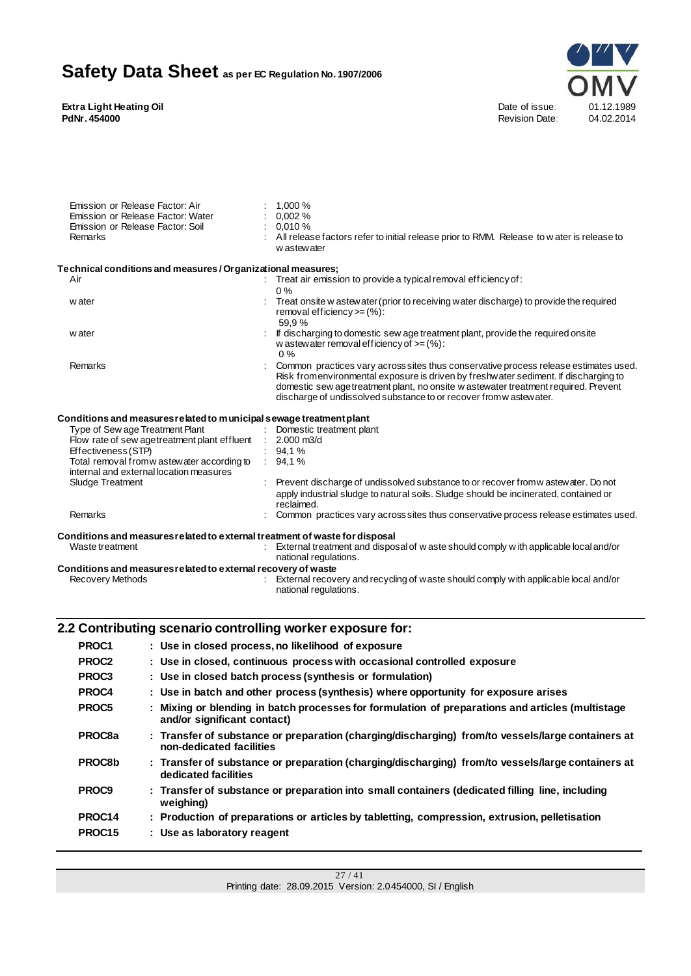**Extra Light Heating Oil** Date of issue: 01.12.1989 **PdNr. 454000** Revision Date: 04.02.2014



Emission or Release Factor: Air : 1,000 %<br>
Fmission or Release Factor: Water : 0,002 % Emission or Release Factor: Water Emission or Release Factor: Soil : 0,010 %<br>Remarks : All relea All release factors refer to initial release prior to RMM. Release to w ater is release to w astewater **Technical conditions and measures / Organizational measures;** : Treat air emission to provide a typical removal efficiency of:  $0 %$ w ater  $\blacksquare$ : Treat onsite w astewater (prior to receiving water discharge) to provide the required removal efficiency  $>=$   $(\%)$ : 59,9 % w ater  $\blacksquare$ : If discharging to domestic sew age treatment plant, provide the required onsite w astewater removal efficiency of  $=$  (%): 0 % Remarks **Example 20** Common practices vary across sites thus conservative process release estimates used. Risk from environmental exposure is driven by freshwater sediment. If discharging to domestic sew age treatment plant, no onsite w astewater treatment required. Prevent discharge of undissolved substance to or recover from w astewater. **Conditions and measures related to municipal sewage treatment plant** Type of Sew age Treatment Plant<br>Flow rate of sew age treatment plant effluent : 2.000 m3/d Flow rate of sew agetreatment plant effluent : 2.000 n<br>Effectiveness (STP) : 94.1 % Effectiveness (STP) Total removal from w astewater according to internal and external location measures 94,1% : Prevent discharge of undissolved substance to or recover from w astewater. Do not apply industrial sludge to natural soils. Sludge should be incinerated, contained or reclaimed. Remarks **Example 20 Starting Common practices vary across sites thus conservative process release estimates used. Conditions and measures related to external treatment of waste for disposal** External treatment and disposal of w aste should comply w ith applicable local and/or national regulations. **Conditions and measures related to external recovery of waste** Recovery Methods **in the covery and recovery and recycling of waste should comply with applicable local and/or** national regulations.

### **2.2 Contributing scenario controlling worker exposure for:**

| PROC <sub>1</sub>  | : Use in closed process, no likelihood of exposure                                                                               |
|--------------------|----------------------------------------------------------------------------------------------------------------------------------|
| PROC <sub>2</sub>  | : Use in closed, continuous process with occasional controlled exposure                                                          |
| PROC <sub>3</sub>  | : Use in closed batch process (synthesis or formulation)                                                                         |
| PROC4              | : Use in batch and other process (synthesis) where opportunity for exposure arises                                               |
| PROC5              | : Mixing or blending in batch processes for formulation of preparations and articles (multistage)<br>and/or significant contact) |
| PROC8a             | : Transfer of substance or preparation (charging/discharging) from/to vessels/large containers at<br>non-dedicated facilities    |
| PROC8b             | : Transfer of substance or preparation (charging/discharging) from/to vessels/large containers at<br>dedicated facilities        |
| PROC <sub>9</sub>  | : Transfer of substance or preparation into small containers (dedicated filling line, including<br>weighing)                     |
| PROC <sub>14</sub> | : Production of preparations or articles by tabletting, compression, extrusion, pelletisation                                    |
| PROC <sub>15</sub> | : Use as laboratory reagent                                                                                                      |
|                    |                                                                                                                                  |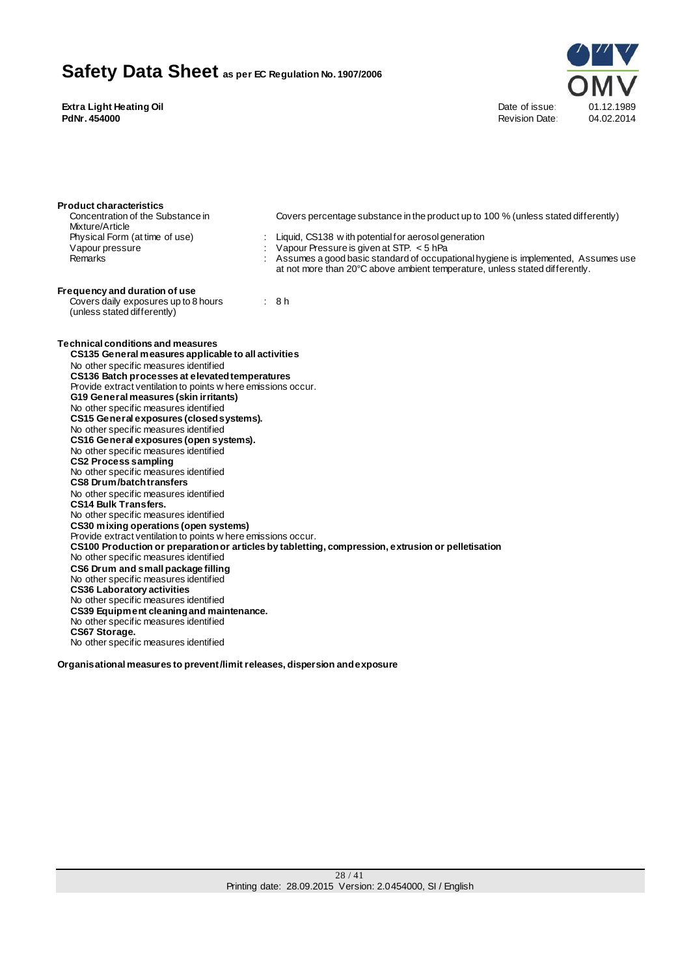**Extra Light Heating Oil** Date of issue: 01.12.1989 **PdNr. 454000** Revision Date: 04.02.2014



| <b>Product characteristics</b><br>Concentration of the Substance in<br>Mixture/Article<br>Physical Form (at time of use)<br>Vapour pressure<br>Remarks                                                                                                                                                                                                                                                                                                                                                                                                                                                                                                                                                                                                                                                                                                                                                                                                                                                                                                                                                                                                                                                          | Covers percentage substance in the product up to 100 % (unless stated differently)<br>Liquid, CS138 w ith potential for aerosol generation<br>Vapour Pressure is given at STP. < 5 hPa<br>Assumes a good basic standard of occupational hygiene is implemented, Assumes use<br>at not more than 20°C above ambient temperature, unless stated differently. |
|-----------------------------------------------------------------------------------------------------------------------------------------------------------------------------------------------------------------------------------------------------------------------------------------------------------------------------------------------------------------------------------------------------------------------------------------------------------------------------------------------------------------------------------------------------------------------------------------------------------------------------------------------------------------------------------------------------------------------------------------------------------------------------------------------------------------------------------------------------------------------------------------------------------------------------------------------------------------------------------------------------------------------------------------------------------------------------------------------------------------------------------------------------------------------------------------------------------------|------------------------------------------------------------------------------------------------------------------------------------------------------------------------------------------------------------------------------------------------------------------------------------------------------------------------------------------------------------|
| Frequency and duration of use<br>Covers daily exposures up to 8 hours<br>(unless stated differently)                                                                                                                                                                                                                                                                                                                                                                                                                                                                                                                                                                                                                                                                                                                                                                                                                                                                                                                                                                                                                                                                                                            | : 8h                                                                                                                                                                                                                                                                                                                                                       |
| <b>Technical conditions and measures</b><br>CS135 General measures applicable to all activities<br>No other specific measures identified<br>CS136 Batch processes at elevated temperatures<br>Provide extract ventilation to points w here emissions occur.<br>G19 General measures (skin irritants)<br>No other specific measures identified<br>CS15 General exposures (closed systems).<br>No other specific measures identified<br>CS16 General exposures (open systems).<br>No other specific measures identified<br><b>CS2 Process sampling</b><br>No other specific measures identified<br><b>CS8 Drum/batchtransfers</b><br>No other specific measures identified<br><b>CS14 Bulk Transfers.</b><br>No other specific measures identified<br>CS30 mixing operations (open systems)<br>Provide extract ventilation to points w here emissions occur.<br>No other specific measures identified<br>CS6 Drum and small package filling<br>No other specific measures identified<br><b>CS36 Laboratory activities</b><br>No other specific measures identified<br>CS39 Equipment cleaning and maintenance.<br>No other specific measures identified<br>CS67 Storage.<br>No other specific measures identified | CS100 Production or preparation or articles by tabletting, compression, extrusion or pelletisation                                                                                                                                                                                                                                                         |

**Organisational measures to prevent /limit releases, dispersion and exposure**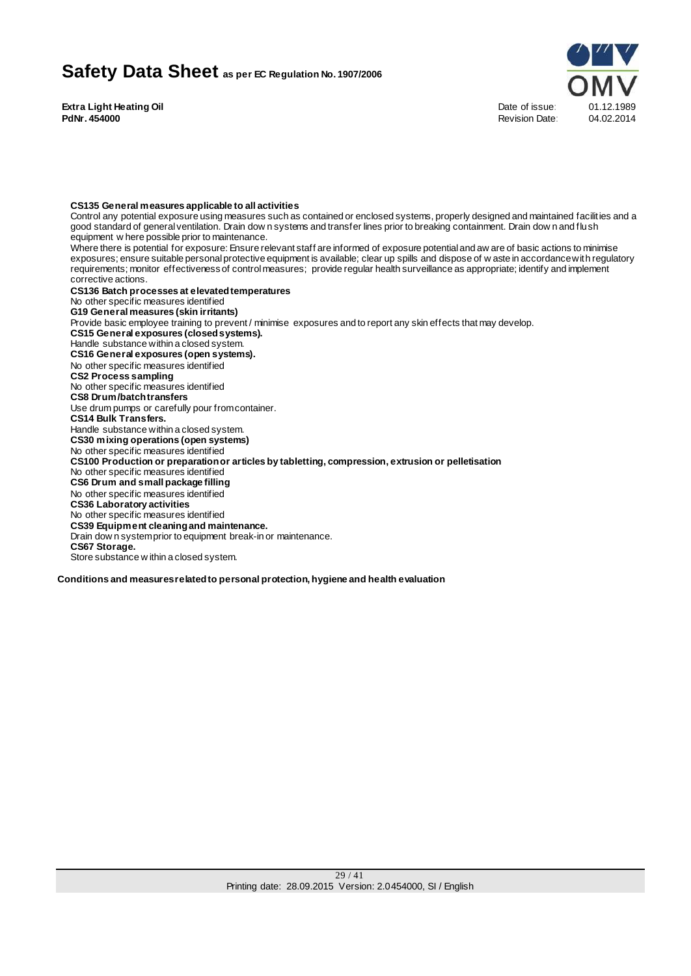**CS135 General measures applicable to all activities**

**Extra Light Heating Oil** Date of issue: 01.12.1989 **PdNr. 454000** Revision Date: 04.02.2014



Control any potential exposure using measures such as contained or enclosed systems, properly designed and maintained facilities and a good standard of general ventilation. Drain dow n systems and transfer lines prior to breaking containment. Drain dow n and flush equipment w here possible prior to maintenance. Where there is potential for exposure: Ensure relevant staff are informed of exposure potential and aw are of basic actions to minimise exposures; ensure suitable personal protective equipment is available; clear up spills and dispose of w aste in accordance with regulatory requirements; monitor effectiveness of control measures; provide regular health surveillance as appropriate; identify and implement corrective actions. **CS136 Batch processes at elevated temperatures** No other specific measures identified **G19 General measures (skin irritants)** Provide basic employee training to prevent / minimise exposures and to report any skin effects that may develop. **CS15 General exposures (closed systems).** Handle substance within a closed system. **CS16 General exposures (open systems).** No other specific measures identified **CS2 Process sampling** No other specific measures identified **CS8 Drum/batch transfers** Use drum pumps or carefully pour from container. **CS14 Bulk Transfers.** Handle substance within a closed system. **CS30 mixing operations (open systems)** No other specific measures identified **CS100 Production or preparation or articles by tabletting, compression, extrusion or pelletisation** No other specific measures identified **CS6 Drum and small package filling** No other specific measures identified **CS36 Laboratory activities** No other specific measures identified **CS39 Equipment cleaning and maintenance.** Drain dow n system prior to equipment break-in or maintenance. **CS67 Storage.** Store substance w ithin a closed system. **Conditions and measures related to personal protection, hygiene and health evaluation**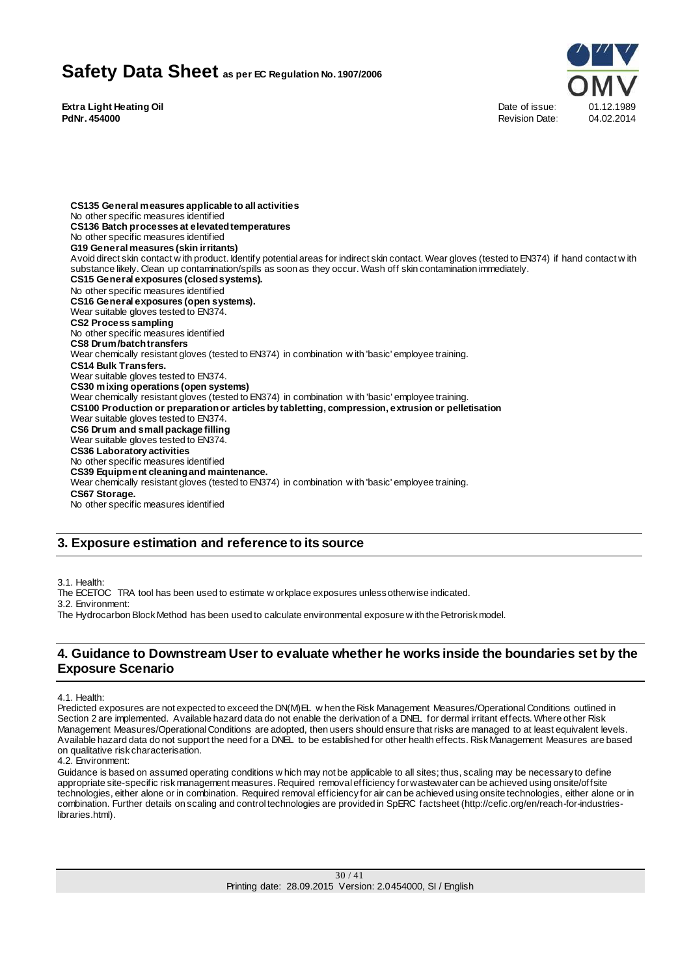**Extra Light Heating Oil** Date of issue: 01.12.1989 **PdNr. 454000** Revision Date: 04.02.2014

**CS135 General measures applicable to all activities** No other specific measures identified **CS136 Batch processes at elevated temperatures** No other specific measures identified **G19 General measures (skin irritants)** Avoid direct skin contact w ith product. Identify potential areas for indirect skin contact. Wear gloves (tested to EN374) if hand contact w ith substance likely. Clean up contamination/spills as soon as they occur. Wash off skin contamination immediately. **CS15 General exposures (closed systems).** No other specific measures identified **CS16 General exposures (open systems).** Wear suitable gloves tested to EN374. **CS2 Process sampling** No other specific measures identified **CS8 Drum/batch transfers** Wear chemically resistant gloves (tested to EN374) in combination w ith 'basic' employee training. **CS14 Bulk Transfers.** Wear suitable gloves tested to EN374. **CS30 mixing operations (open systems)** Wear chemically resistant gloves (tested to EN374) in combination w ith 'basic' employee training. **CS100 Production or preparation or articles by tabletting, compression, extrusion or pelletisation** Wear suitable gloves tested to EN374. **CS6 Drum and small package filling** Wear suitable gloves tested to EN374. **CS36 Laboratory activities** No other specific measures identified **CS39 Equipment cleaning and maintenance.** Wear chemically resistant gloves (tested to EN374) in combination w ith 'basic' employee training. **CS67 Storage.** No other specific measures identified

## **3. Exposure estimation and reference to its source**

3.1. Health:

The ECETOC TRA tool has been used to estimate w orkplace exposures unless otherwise indicated.

3.2. Environment:

The Hydrocarbon Block Method has been used to calculate environmental exposure w ith the Petrorisk model.

### **4. Guidance to Downstream User to evaluate whether he works inside the boundaries set by the Exposure Scenario**

4.1. Health:

Predicted exposures are not expected to exceed the DN(M)EL w hen the Risk Management Measures/Operational Conditions outlined in Section 2 are implemented. Available hazard data do not enable the derivation of a DNEL for dermal irritant effects. Where other Risk Management Measures/Operational Conditions are adopted, then users should ensure that risks are managed to at least equivalent levels. Available hazard data do not support the need for a DNEL to be established for other health effects. Risk Management Measures are based on qualitative risk characterisation.

#### 4.2. Environment:

Guidance is based on assumed operating conditions w hich may not be applicable to all sites; thus, scaling may be necessary to define appropriate site-specific risk management measures. Required removal efficiency for wastewater can be achieved using onsite/offsite technologies, either alone or in combination. Required removal efficiency for air can be achieved using onsite technologies, either alone or in combination. Further details on scaling and control technologies are provided in SpERC factsheet (http://cefic.org/en/reach-for-industrieslibraries.html).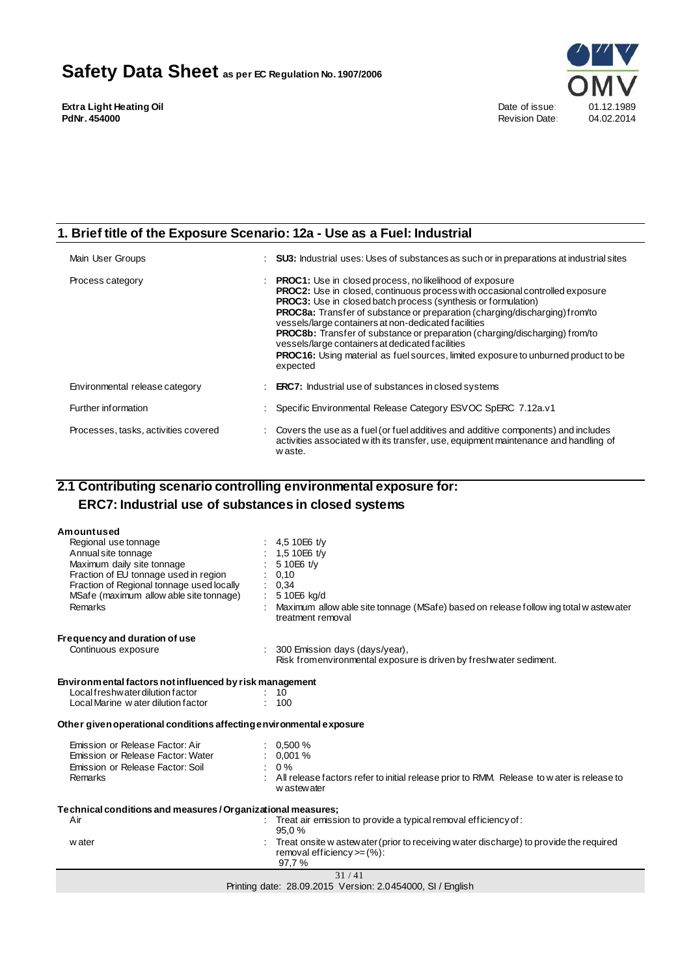

## **1. Brief title of the Exposure Scenario: 12a - Use as a Fuel: Industrial**

| Main User Groups                     | : SU3: Industrial uses: Uses of substances as such or in preparations at industrial sites                                                                                                                                                                                                                                                                                                                                                                                                                                                                                                                        |
|--------------------------------------|------------------------------------------------------------------------------------------------------------------------------------------------------------------------------------------------------------------------------------------------------------------------------------------------------------------------------------------------------------------------------------------------------------------------------------------------------------------------------------------------------------------------------------------------------------------------------------------------------------------|
| Process category                     | <b>PROC1:</b> Use in closed process, no likelihood of exposure<br><b>PROC2:</b> Use in closed, continuous process with occasional controlled exposure<br>PROC3: Use in closed batch process (synthesis or formulation)<br>PROC8a: Transfer of substance or preparation (charging/discharging) from/to<br>vessels/large containers at non-dedicated facilities<br><b>PROC8b:</b> Transfer of substance or preparation (charging/discharging) from/to<br>vessels/large containers at dedicated facilities<br><b>PROC16:</b> Using material as fuel sources, limited exposure to unburned product to be<br>expected |
| Environmental release category       | $\therefore$ ERC7: Industrial use of substances in closed systems                                                                                                                                                                                                                                                                                                                                                                                                                                                                                                                                                |
| Further information                  | Specific Environmental Release Category ESVOC SpERC 7.12a.v1                                                                                                                                                                                                                                                                                                                                                                                                                                                                                                                                                     |
| Processes, tasks, activities covered | : Covers the use as a fuel (or fuel additives and additive components) and includes<br>activities associated w ith its transfer, use, equipment maintenance and handling of<br>w aste.                                                                                                                                                                                                                                                                                                                                                                                                                           |

# **2.1 Contributing scenario controlling environmental exposure for: ERC7: Industrial use of substances in closed systems**

| Amountused<br>Regional use tonnage<br>Annual site tonnage<br>Maximum daily site tonnage<br>Fraction of EU tonnage used in region<br>Fraction of Regional tonnage used locally<br>MSafe (maximum allow able site tonnage)<br>Remarks | 4,5 10E6 t/y<br>1,5 10E6 t/y<br>5 10E6 t/y<br>0,10<br>: 0,34<br>: 5 10E6 kg/d<br>Maximum allow able site tonnage (MSafe) based on release follow ing total w astewater<br>treatment removal |  |  |  |
|-------------------------------------------------------------------------------------------------------------------------------------------------------------------------------------------------------------------------------------|---------------------------------------------------------------------------------------------------------------------------------------------------------------------------------------------|--|--|--|
| Frequency and duration of use                                                                                                                                                                                                       |                                                                                                                                                                                             |  |  |  |
| Continuous exposure                                                                                                                                                                                                                 | 300 Emission days (days/year),<br>Risk from environmental exposure is driven by freshwater sediment.                                                                                        |  |  |  |
| Environmental factors not influenced by risk management                                                                                                                                                                             |                                                                                                                                                                                             |  |  |  |
| Local freshwater dilution factor                                                                                                                                                                                                    | : 10                                                                                                                                                                                        |  |  |  |
| Local Marine w ater dilution factor                                                                                                                                                                                                 | : 100                                                                                                                                                                                       |  |  |  |
| Other given operational conditions affecting environmental exposure                                                                                                                                                                 |                                                                                                                                                                                             |  |  |  |
| Emission or Release Factor: Air                                                                                                                                                                                                     | $0.500\ \%$                                                                                                                                                                                 |  |  |  |
| Emission or Release Factor: Water                                                                                                                                                                                                   | 0.001 %                                                                                                                                                                                     |  |  |  |
| Emission or Release Factor: Soil                                                                                                                                                                                                    | $0\%$                                                                                                                                                                                       |  |  |  |
| Remarks                                                                                                                                                                                                                             | All release factors refer to initial release prior to RMM. Release to water is release to<br>w astewater                                                                                    |  |  |  |
| Technical conditions and measures / Organizational measures;                                                                                                                                                                        |                                                                                                                                                                                             |  |  |  |
| Air                                                                                                                                                                                                                                 | Treat air emission to provide a typical removal efficiency of:<br>95,0%                                                                                                                     |  |  |  |
| w ater                                                                                                                                                                                                                              | Treat onsite w astewater (prior to receiving water discharge) to provide the required<br>removal efficiency $>=$ (%):<br>97,7%                                                              |  |  |  |
|                                                                                                                                                                                                                                     | 31/41                                                                                                                                                                                       |  |  |  |
|                                                                                                                                                                                                                                     | Printing date: 28.09.2015 Version: 2.0454000 SL/ English                                                                                                                                    |  |  |  |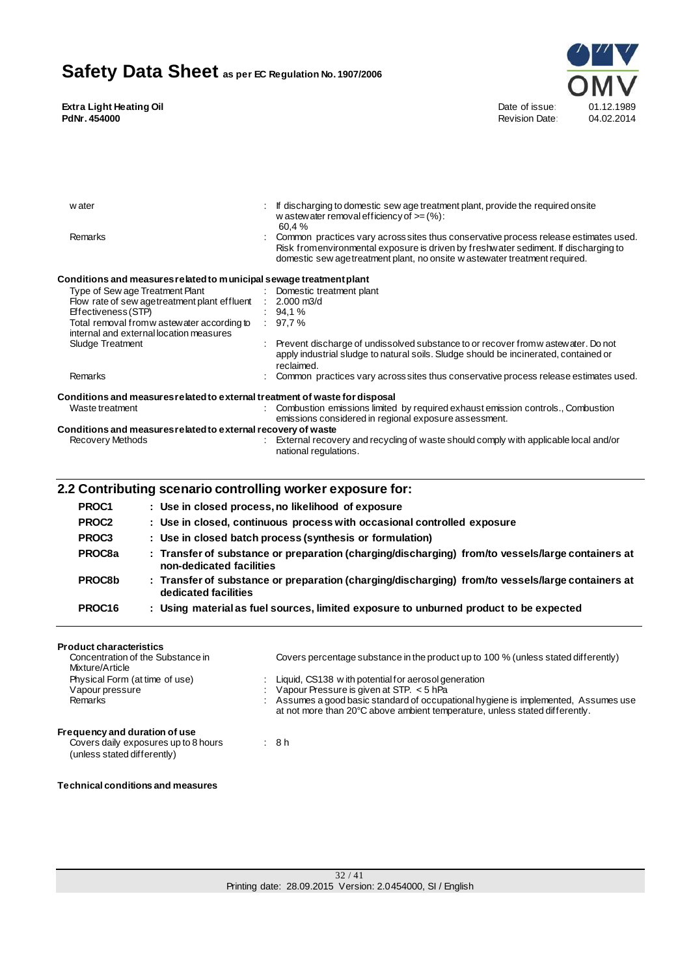**Extra Light Heating Oil** Date of issue: 01.12.1989 **PdNr. 454000** Revision Date: 04.02.2014



| If discharging to domestic sew age treatment plant, provide the required onsite<br>w ater<br>w astewater removal efficiency of $=$ (%):                                                                                                                               |  |
|-----------------------------------------------------------------------------------------------------------------------------------------------------------------------------------------------------------------------------------------------------------------------|--|
| 60.4 %                                                                                                                                                                                                                                                                |  |
| Common practices vary across sites thus conservative process release estimates used.<br>Remarks<br>Risk from environmental exposure is driven by freshwater sediment. If discharging to<br>domestic sew agetreatment plant, no onsite w astewater treatment required. |  |
| Conditions and measures related to m unicipal sewage treatment plant                                                                                                                                                                                                  |  |
| Type of Sew age Treatment Plant<br>: Domestic treatment plant                                                                                                                                                                                                         |  |
| Flow rate of sew agetreatment plant effluent : 2.000 m3/d                                                                                                                                                                                                             |  |
| Effectiveness (STP)<br>: 94.1%                                                                                                                                                                                                                                        |  |
| Total removal from w astewater according to<br>$: 97.7\%$<br>internal and external location measures                                                                                                                                                                  |  |
| Prevent discharge of undissolved substance to or recover from w astewater. Do not<br>Sludge Treatment<br>apply industrial sludge to natural soils. Sludge should be incinerated, contained or<br>reclaimed.                                                           |  |
| Common practices vary across sites thus conservative process release estimates used.<br>Remarks                                                                                                                                                                       |  |
| Conditions and measures related to external treatment of waste for disposal                                                                                                                                                                                           |  |
| Combustion emissions limited by required exhaust emission controls., Combustion<br>Waste treatment<br>emissions considered in regional exposure assessment.                                                                                                           |  |
| Conditions and measures related to external recovery of waste                                                                                                                                                                                                         |  |
| : External recovery and recycling of waste should comply with applicable local and/or<br><b>Recovery Methods</b><br>national regulations.                                                                                                                             |  |

# **2.2 Contributing scenario controlling worker exposure for:**

| PROC1              | : Use in closed process, no likelihood of exposure                                                                            |
|--------------------|-------------------------------------------------------------------------------------------------------------------------------|
| PROC <sub>2</sub>  | : Use in closed, continuous process with occasional controlled exposure                                                       |
| PROC <sub>3</sub>  | : Use in closed batch process (synthesis or formulation)                                                                      |
| PROC8a             | : Transfer of substance or preparation (charging/discharging) from/to vessels/large containers at<br>non-dedicated facilities |
| PROC8b             | : Transfer of substance or preparation (charging/discharging) from/to vessels/large containers at<br>dedicated facilities     |
| PROC <sub>16</sub> | : Using material as fuel sources, limited exposure to unburned product to be expected                                         |
|                    |                                                                                                                               |

| <b>Product characteristics</b><br>Concentration of the Substance in<br>Mixture/Article               | Covers percentage substance in the product up to 100 % (unless stated differently)                                                                                                                                                                                           |  |
|------------------------------------------------------------------------------------------------------|------------------------------------------------------------------------------------------------------------------------------------------------------------------------------------------------------------------------------------------------------------------------------|--|
| Physical Form (at time of use)<br>Vapour pressure<br>Remarks                                         | : Liquid, CS138 w ith potential for aerosol generation<br>: Vapour Pressure is given at STP. $<$ 5 hPa<br>: Assumes a good basic standard of occupational hygiene is implemented, Assumes use<br>at not more than 20°C above ambient temperature, unless stated differently. |  |
| Frequency and duration of use<br>Covers daily exposures up to 8 hours<br>(unless stated differently) | : 8 h                                                                                                                                                                                                                                                                        |  |
| <b>Technical conditions and measures</b>                                                             |                                                                                                                                                                                                                                                                              |  |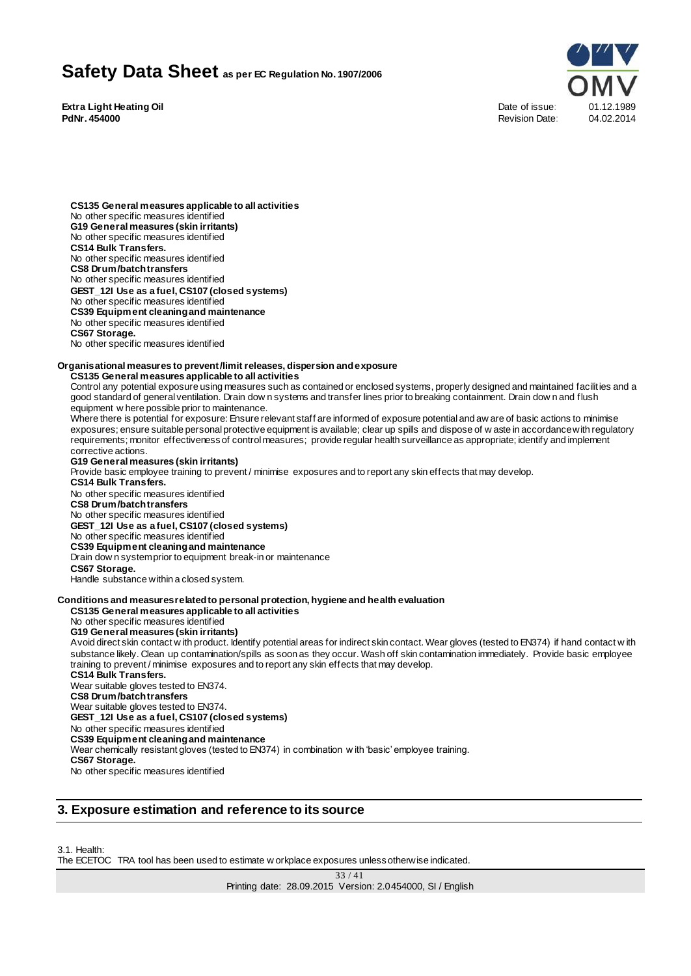**Extra Light Heating Oil** Date of issue: 01.12.1989 **PdNr. 454000** Revision Date: 04.02.2014



**CS135 General measures applicable to all activities** No other specific measures identified **G19 General measures (skin irritants)** No other specific measures identified **CS14 Bulk Transfers.** No other specific measures identified **CS8 Drum/batch transfers** No other specific measures identified **GEST\_12I Use as a fuel, CS107 (closed systems)** No other specific measures identified **CS39 Equipment cleaning and maintenance** No other specific measures identified **CS67 Storage.** No other specific measures identified

## **Organisational measures to prevent /limit releases, dispersion and exposure**

**CS135 General measures applicable to all activities**

Control any potential exposure using measures such as contained or enclosed systems, properly designed and maintained facilities and a good standard of general ventilation. Drain dow n systems and transfer lines prior to breaking containment. Drain dow n and flush equipment w here possible prior to maintenance.

Where there is potential for exposure: Ensure relevant staff are informed of exposure potential and aw are of basic actions to minimise exposures; ensure suitable personal protective equipment is available; clear up spills and dispose of w aste in accordance with regulatory requirements; monitor effectiveness of control measures; provide regular health surveillance as appropriate; identify and implement corrective actions.

#### **G19 General measures (skin irritants)**

Provide basic employee training to prevent / minimise exposures and to report any skin effects that may develop. **CS14 Bulk Transfers.** No other specific measures identified **CS8 Drum/batch transfers** No other specific measures identified **GEST\_12I Use as a fuel, CS107 (closed systems)** No other specific measures identified **CS39 Equipment cleaning and maintenance** Drain dow n system prior to equipment break-in or maintenance **CS67 Storage.** Handle substance within a closed system. **Conditions and measures related to personal protection, hygiene and health evaluation CS135 General measures applicable to all activities** No other specific measures identified **G19 General measures (skin irritants)** Avoid direct skin contact w ith product. Identify potential areas for indirect skin contact. Wear gloves (tested to EN374) if hand contact w ith substance likely. Clean up contamination/spills as soon as they occur. Wash off skin contamination immediately. Provide basic employee training to prevent / minimise exposures and to report any skin effects that may develop. **CS14 Bulk Transfers.**

Wear suitable gloves tested to EN374. **CS8 Drum/batch transfers** Wear suitable gloves tested to EN374. **GEST\_12I Use as a fuel, CS107 (closed systems)** No other specific measures identified **CS39 Equipment cleaning and maintenance** Wear chemically resistant gloves (tested to EN374) in combination w ith 'basic' employee training. **CS67 Storage.** No other specific measures identified

### **3. Exposure estimation and reference to its source**

3.1. Health:

The ECETOC TRA tool has been used to estimate w orkplace exposures unless otherwise indicated.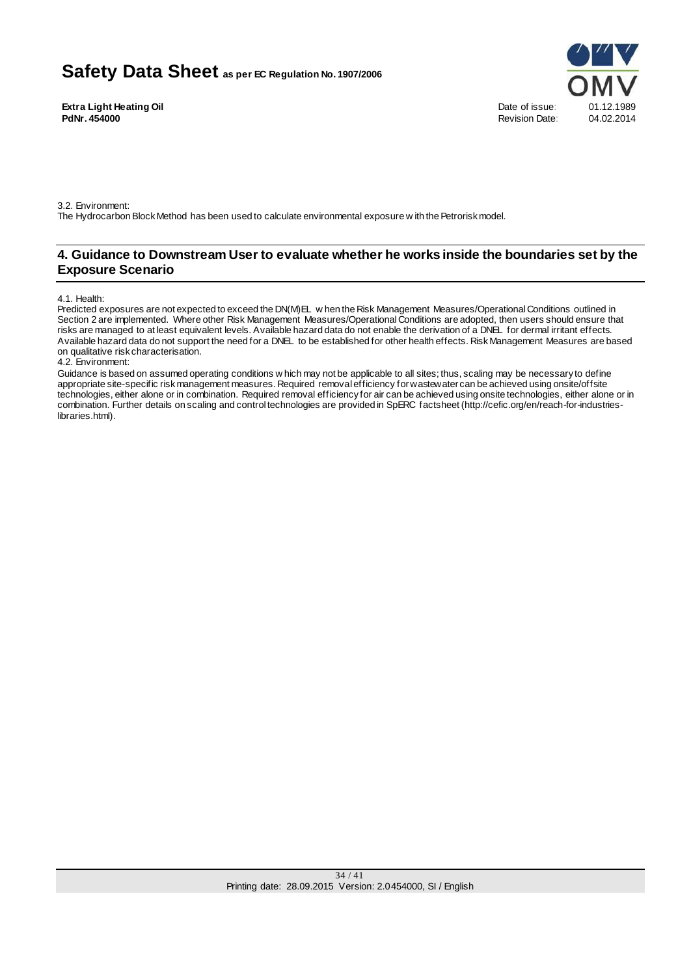**Extra Light Heating Oil** Date of issue: 01.12.1989 **PdNr. 454000** Revision Date: 04.02.2014



3.2. Environment:

The Hydrocarbon Block Method has been used to calculate environmental exposure w ith the Petrorisk model.

## **4. Guidance to Downstream User to evaluate whether he works inside the boundaries set by the Exposure Scenario**

4.1. Health:

Predicted exposures are not expected to exceed the DN(M)EL w hen the Risk Management Measures/Operational Conditions outlined in Section 2 are implemented. Where other Risk Management Measures/Operational Conditions are adopted, then users should ensure that risks are managed to at least equivalent levels. Available hazard data do not enable the derivation of a DNEL for dermal irritant effects. Available hazard data do not support the need for a DNEL to be established for other health effects. Risk Management Measures are based on qualitative risk characterisation.

#### 4.2. Environment:

Guidance is based on assumed operating conditions w hich may not be applicable to all sites; thus, scaling may be necessary to define appropriate site-specific risk management measures. Required removal efficiency for wastewater can be achieved using onsite/offsite technologies, either alone or in combination. Required removal efficiency for air can be achieved using onsite technologies, either alone or in combination. Further details on scaling and control technologies are provided in SpERC factsheet (http://cefic.org/en/reach-for-industrieslibraries.html).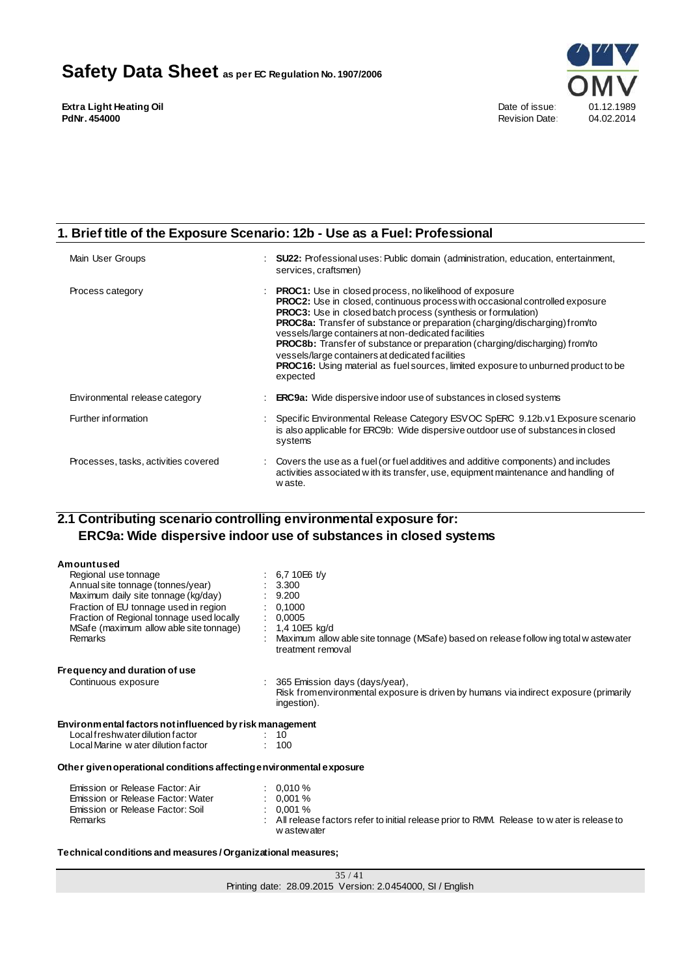**PdNr. 454000** Revision Date: 04.02.2014



## **1. Brief title of the Exposure Scenario: 12b - Use as a Fuel: Professional**

| Main User Groups                     | <b>SU22:</b> Professional uses: Public domain (administration, education, entertainment,<br>services, craftsmen)                                                                                                                                                                                                                                                                                                                                                                                                                                                                                                        |
|--------------------------------------|-------------------------------------------------------------------------------------------------------------------------------------------------------------------------------------------------------------------------------------------------------------------------------------------------------------------------------------------------------------------------------------------------------------------------------------------------------------------------------------------------------------------------------------------------------------------------------------------------------------------------|
| Process category                     | <b>PROC1:</b> Use in closed process, no likelihood of exposure<br><b>PROC2:</b> Use in closed, continuous process with occasional controlled exposure<br><b>PROC3:</b> Use in closed batch process (synthesis or formulation)<br>PROC8a: Transfer of substance or preparation (charging/discharging) from/to<br>vessels/large containers at non-dedicated facilities<br><b>PROC8b:</b> Transfer of substance or preparation (charging/discharging) from/to<br>vessels/large containers at dedicated facilities<br><b>PROC16:</b> Using material as fuel sources, limited exposure to unburned product to be<br>expected |
| Environmental release category       | <b>ERC9a:</b> Wide dispersive indoor use of substances in closed systems                                                                                                                                                                                                                                                                                                                                                                                                                                                                                                                                                |
| Further information                  | Specific Environmental Release Category ESVOC SpERC 9.12b.v1 Exposure scenario<br>is also applicable for ERC9b: Wide dispersive outdoor use of substances in closed<br>systems                                                                                                                                                                                                                                                                                                                                                                                                                                          |
| Processes, tasks, activities covered | : Covers the use as a fuel (or fuel additives and additive components) and includes<br>activities associated with its transfer, use, equipment maintenance and handling of<br>w aste.                                                                                                                                                                                                                                                                                                                                                                                                                                   |

## **2.1 Contributing scenario controlling environmental exposure for: ERC9a: Wide dispersive indoor use of substances in closed systems**

| Amountused                                                          |                                                                                             |
|---------------------------------------------------------------------|---------------------------------------------------------------------------------------------|
| Regional use tonnage                                                | $: 6.710E6$ t/y                                                                             |
| Annual site tonnage (tonnes/year)                                   | : 3.300                                                                                     |
| Maximum daily site tonnage (kg/day)                                 | 9.200                                                                                       |
| Fraction of EU tonnage used in region : 0,1000                      |                                                                                             |
| Fraction of Regional tonnage used locally                           | : 0.0005                                                                                    |
| MSafe (maximum allow able site tonnage)                             | : $1,4$ 10E5 kg/d                                                                           |
| Remarks                                                             | Maximum allow able site tonnage (MSafe) based on release follow ing total w astew ater      |
|                                                                     | treatment removal                                                                           |
|                                                                     |                                                                                             |
| Frequency and duration of use                                       |                                                                                             |
| Continuous exposure                                                 | 365 Emission days (days/year),                                                              |
|                                                                     | Risk from environmental exposure is driven by humans via indirect exposure (primarily       |
|                                                                     | ingestion).                                                                                 |
|                                                                     |                                                                                             |
| Environmental factors not influenced by risk management             |                                                                                             |
| Local freshwater dilution factor                                    | 10                                                                                          |
| Local Marine w ater dilution factor                                 | : 100                                                                                       |
|                                                                     |                                                                                             |
| Other given operational conditions affecting environmental exposure |                                                                                             |
|                                                                     |                                                                                             |
| Emission or Release Factor: Air                                     | $: 0.010 \%$                                                                                |
| Emission or Release Factor: Water                                   | $: 0.001 \%$                                                                                |
| Emission or Release Factor: Soil                                    | $: 0.001 \%$                                                                                |
| Remarks                                                             | : All release factors refer to initial release prior to RMM. Release to water is release to |
|                                                                     | w astewater                                                                                 |
|                                                                     |                                                                                             |

**Technical conditions and measures / Organizational measures;**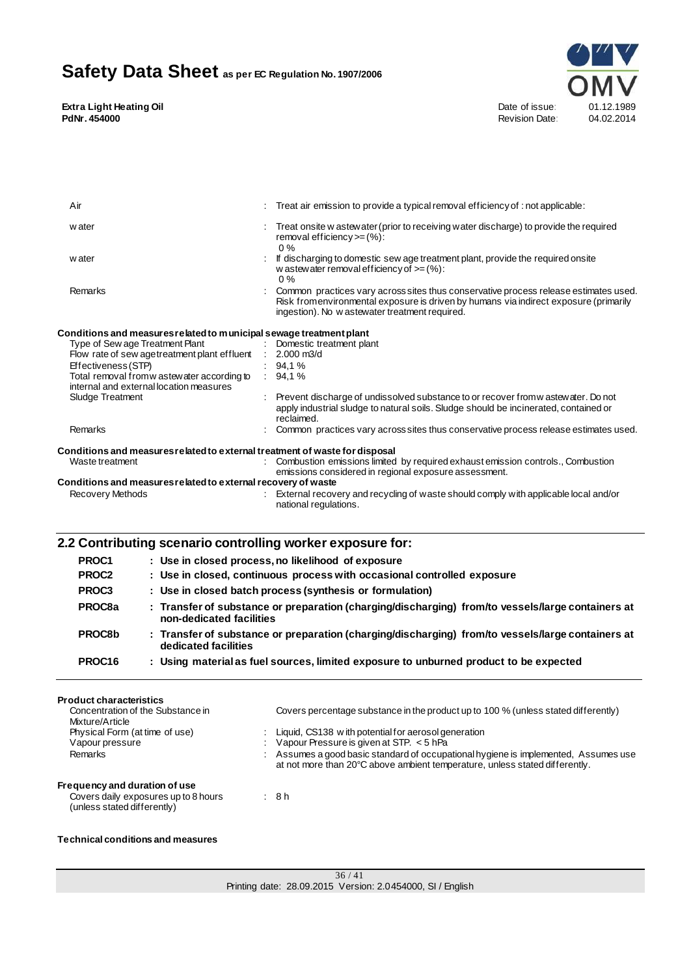**Extra Light Heating Oil** Date of issue: 01.12.1989 **PdNr. 454000** Revision Date: 04.02.2014



| Air                                                                                    |                     | Treat air emission to provide a typical removal efficiency of : not applicable:                                                                                                                                                 |  |
|----------------------------------------------------------------------------------------|---------------------|---------------------------------------------------------------------------------------------------------------------------------------------------------------------------------------------------------------------------------|--|
| w ater                                                                                 |                     | Treat onsite w astewater (prior to receiving water discharge) to provide the required<br>removal efficiency $>=$ (%):<br>0%                                                                                                     |  |
| w ater                                                                                 |                     | If discharging to domestic sew age treatment plant, provide the required onsite<br>w astewater removal efficiency of $=$ (%):<br>$0\%$                                                                                          |  |
| Remarks                                                                                |                     | Common practices vary across sites thus conservative process release estimates used.<br>Risk from environmental exposure is driven by humans via indirect exposure (primarily<br>ingestion). No w astewater treatment required. |  |
| Conditions and measures related to m unicipal sewage treatment plant                   |                     |                                                                                                                                                                                                                                 |  |
| Type of Sew age Treatment Plant                                                        | $\sim$ 100          | Domestic treatment plant                                                                                                                                                                                                        |  |
| Flow rate of sew agetreatment plant effluent : 2.000 m3/d                              |                     |                                                                                                                                                                                                                                 |  |
|                                                                                        |                     |                                                                                                                                                                                                                                 |  |
| Effectiveness (STP)                                                                    |                     | : 94,1%                                                                                                                                                                                                                         |  |
| Total removal from w astewater according to<br>internal and external location measures |                     | : 94.1%                                                                                                                                                                                                                         |  |
| Sludge Treatment                                                                       |                     | Prevent discharge of undissolved substance to or recover from wastewater. Do not<br>apply industrial sludge to natural soils. Sludge should be incinerated, contained or<br>reclaimed.                                          |  |
| Remarks                                                                                |                     | Common practices vary across sites thus conservative process release estimates used.                                                                                                                                            |  |
| Conditions and measures related to external treatment of waste for disposal            |                     |                                                                                                                                                                                                                                 |  |
| Waste treatment                                                                        | $\mathcal{L}^{\pm}$ | Combustion emissions limited by required exhaust emission controls., Combustion<br>emissions considered in regional exposure assessment.                                                                                        |  |
| Conditions and measures related to external recovery of waste                          |                     |                                                                                                                                                                                                                                 |  |
| <b>Recovery Methods</b>                                                                |                     | External recovery and recycling of waste should comply with applicable local and/or<br>national regulations.                                                                                                                    |  |
|                                                                                        |                     |                                                                                                                                                                                                                                 |  |

# **2.2 Contributing scenario controlling worker exposure for:**

| PROC1              | : Use in closed process, no likelihood of exposure                                                                            |
|--------------------|-------------------------------------------------------------------------------------------------------------------------------|
| PROC2              | : Use in closed, continuous process with occasional controlled exposure                                                       |
| PROC <sub>3</sub>  | : Use in closed batch process (synthesis or formulation)                                                                      |
| PROC8a             | : Transfer of substance or preparation (charging/discharging) from/to vessels/large containers at<br>non-dedicated facilities |
| PROC8b             | : Transfer of substance or preparation (charging/discharging) from/to vessels/large containers at<br>dedicated facilities     |
| PROC <sub>16</sub> | : Using material as fuel sources, limited exposure to unburned product to be expected                                         |

#### **Product characteristics**

| 1 TUUUGI GHALAGIISIIGS                                              |                                                                                                                                                                    |
|---------------------------------------------------------------------|--------------------------------------------------------------------------------------------------------------------------------------------------------------------|
| Concentration of the Substance in                                   | Covers percentage substance in the product up to 100 % (unless stated differently)                                                                                 |
| Mixture/Article                                                     |                                                                                                                                                                    |
| Physical Form (at time of use)                                      | : Liquid, CS138 w ith potential for aerosol generation                                                                                                             |
| Vapour pressure                                                     | : Vapour Pressure is given at STP. $<$ 5 hPa                                                                                                                       |
| <b>Remarks</b>                                                      | : Assumes a good basic standard of occupational hygiene is implemented, Assumes use<br>at not more than 20°C above ambient temperature, unless stated differently. |
| Frequency and duration of use                                       |                                                                                                                                                                    |
| Covers daily exposures up to 8 hours<br>(unless stated differently) | : 8 h                                                                                                                                                              |
|                                                                     |                                                                                                                                                                    |

#### **Technical conditions and measures**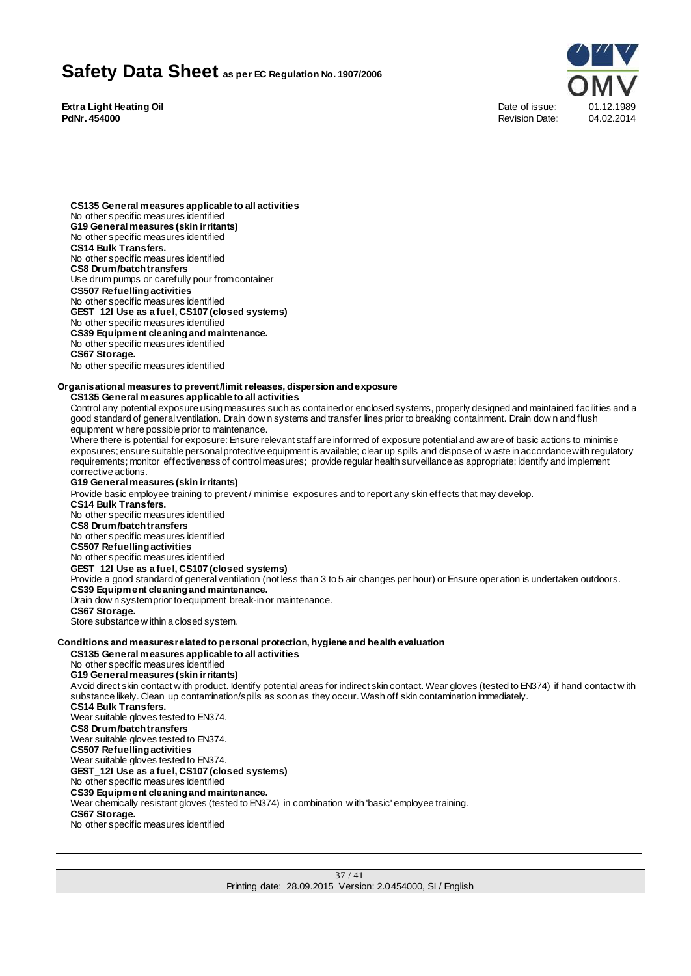**Extra Light Heating Oil** Date of issue: 01.12.1989 **PdNr. 454000** Revision Date: 04.02.2014



**CS135 General measures applicable to all activities** No other specific measures identified **G19 General measures (skin irritants)** No other specific measures identified **CS14 Bulk Transfers.** No other specific measures identified **CS8 Drum/batch transfers** Use drum pumps or carefully pour from container **CS507 Refuelling activities** No other specific measures identified **GEST\_12I Use as a fuel, CS107 (closed systems)** No other specific measures identified **CS39 Equipment cleaning and maintenance.** No other specific measures identified **CS67 Storage.** No other specific measures identified

### **Organisational measures to prevent /limit releases, dispersion and exposure**

**CS135 General measures applicable to all activities**

Control any potential exposure using measures such as contained or enclosed systems, properly designed and maintained facilities and a good standard of general ventilation. Drain dow n systems and transfer lines prior to breaking containment. Drain dow n and flush equipment w here possible prior to maintenance.

Where there is potential for exposure: Ensure relevant staff are informed of exposure potential and aw are of basic actions to minimise exposures; ensure suitable personal protective equipment is available; clear up spills and dispose of w aste in accordance with regulatory requirements; monitor effectiveness of control measures; provide regular health surveillance as appropriate; identify and implement corrective actions.

#### **G19 General measures (skin irritants)**

Provide basic employee training to prevent / minimise exposures and to report any skin effects that may develop.

**CS14 Bulk Transfers.** No other specific measures identified **CS8 Drum/batch transfers** No other specific measures identified **CS507 Refuelling activities** No other specific measures identified **GEST\_12I Use as a fuel, CS107 (closed systems)** Provide a good standard of general ventilation (not less than 3 to 5 air changes per hour) or Ensure operation is undertaken outdoors. **CS39 Equipment cleaning and maintenance.** Drain dow n system prior to equipment break-in or maintenance. **CS67 Storage.** Store substance w ithin a closed system.

#### **Conditions and measures related to personal protection, hygiene and health evaluation CS135 General measures applicable to all activities**

No other specific measures identified

**G19 General measures (skin irritants)**

Avoid direct skin contact w ith product. Identify potential areas for indirect skin contact. Wear gloves (tested to EN374) if hand contact w ith substance likely. Clean up contamination/spills as soon as they occur. Wash off skin contamination immediately. **CS14 Bulk Transfers.**

Wear suitable gloves tested to EN374.

**CS8 Drum/batch transfers**

Wear suitable gloves tested to EN374.

**CS507 Refuelling activities**

Wear suitable gloves tested to EN374. **GEST\_12I Use as a fuel, CS107 (closed systems)**

No other specific measures identified

**CS39 Equipment cleaning and maintenance.**

Wear chemically resistant gloves (tested to EN374) in combination w ith 'basic' employee training.

**CS67 Storage.**

No other specific measures identified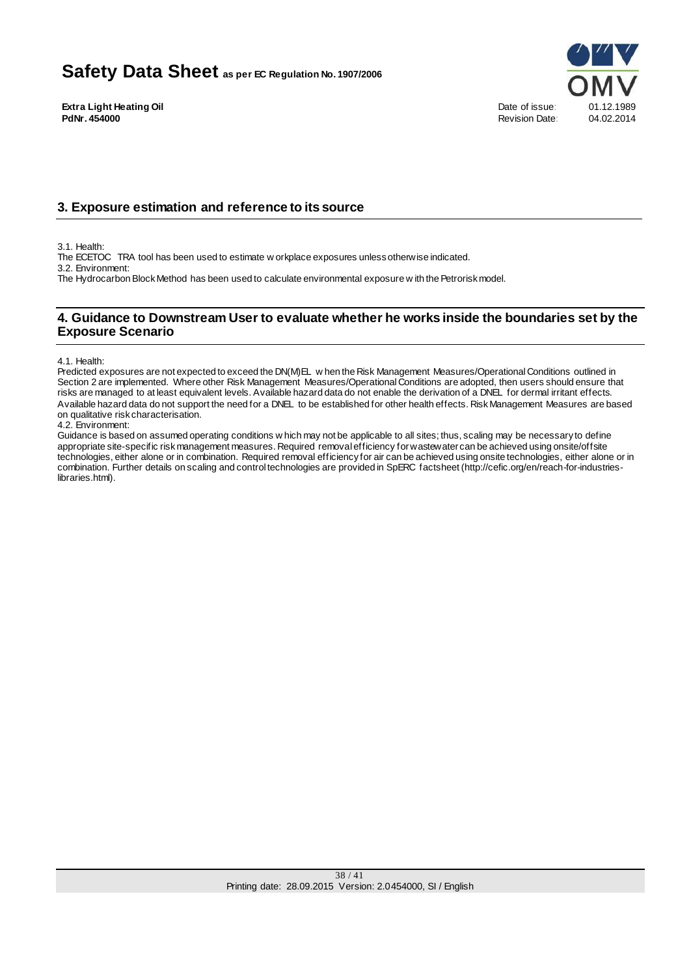**Extra Light Heating Oil** Date of issue: 01.12.1989 **PdNr. 454000** Revision Date: 04.02.2014



## **3. Exposure estimation and reference to its source**

3.1. Health:

The ECETOC TRA tool has been used to estimate w orkplace exposures unless otherwise indicated.

3.2. Environment:

The Hydrocarbon Block Method has been used to calculate environmental exposure w ith the Petrorisk model.

### **4. Guidance to Downstream User to evaluate whether he works inside the boundaries set by the Exposure Scenario**

#### 4.1. Health:

Predicted exposures are not expected to exceed the DN(M)EL w hen the Risk Management Measures/Operational Conditions outlined in Section 2 are implemented. Where other Risk Management Measures/Operational Conditions are adopted, then users should ensure that risks are managed to at least equivalent levels. Available hazard data do not enable the derivation of a DNEL for dermal irritant effects. Available hazard data do not support the need for a DNEL to be established for other health effects. Risk Management Measures are based on qualitative risk characterisation.

#### 4.2. Environment:

Guidance is based on assumed operating conditions w hich may not be applicable to all sites; thus, scaling may be necessary to define appropriate site-specific risk management measures. Required removal efficiency for wastewater can be achieved using onsite/offsite technologies, either alone or in combination. Required removal efficiency for air can be achieved using onsite technologies, either alone or in combination. Further details on scaling and control technologies are provided in SpERC factsheet (http://cefic.org/en/reach-for-industrieslibraries.html).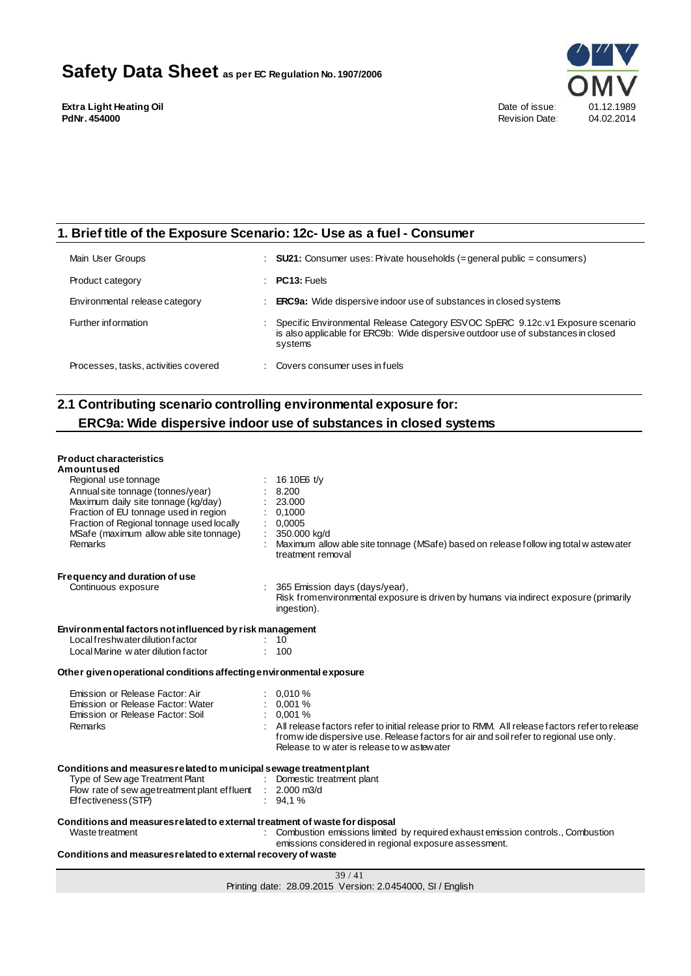

## **1. Brief title of the Exposure Scenario: 12c- Use as a fuel - Consumer**

| Main User Groups                     | <b>SU21:</b> Consumer uses: Private households $(=$ general public $=$ consumers)                                                                                              |
|--------------------------------------|--------------------------------------------------------------------------------------------------------------------------------------------------------------------------------|
| Product category                     | <b>PC13: Fuels</b>                                                                                                                                                             |
| Environmental release category       | <b>ERC9a:</b> Wide dispersive indoor use of substances in closed systems                                                                                                       |
| Further information                  | Specific Environmental Release Category ESVOC SpERC 9.12c.v1 Exposure scenario<br>is also applicable for ERC9b: Wide dispersive outdoor use of substances in closed<br>systems |
| Processes, tasks, activities covered | Covers consumer uses in fuels                                                                                                                                                  |
|                                      |                                                                                                                                                                                |

## **2.1 Contributing scenario controlling environmental exposure for: ERC9a: Wide dispersive indoor use of substances in closed systems**

| <b>Product characteristics</b><br>Amountused                                                                                                                                                                                                 |                                                                                                                                                                                                                                                                                 |
|----------------------------------------------------------------------------------------------------------------------------------------------------------------------------------------------------------------------------------------------|---------------------------------------------------------------------------------------------------------------------------------------------------------------------------------------------------------------------------------------------------------------------------------|
| Regional use tonnage<br>Annual site tonnage (tonnes/year)<br>Maximum daily site tonnage (kg/day)<br>Fraction of EU tonnage used in region<br>Fraction of Regional tonnage used locally<br>MSafe (maximum allow able site tonnage)<br>Remarks | 16 10E6 t/y<br>8.200<br>: 23.000<br>: 0,1000<br>: 0.0005<br>: 350.000 kg/d<br>Maximum allow able site tonnage (MSafe) based on release following total w astewater<br>treatment removal                                                                                         |
| Frequency and duration of use<br>Continuous exposure                                                                                                                                                                                         | : 365 Emission days (days/year),<br>Risk from environmental exposure is driven by humans via indirect exposure (primarily<br>ingestion).                                                                                                                                        |
| Environmental factors not influenced by risk management                                                                                                                                                                                      |                                                                                                                                                                                                                                                                                 |
| Local freshwater dilution factor                                                                                                                                                                                                             | 10                                                                                                                                                                                                                                                                              |
| Local Marine w ater dilution factor                                                                                                                                                                                                          | 100                                                                                                                                                                                                                                                                             |
| Other given operational conditions affecting environmental exposure                                                                                                                                                                          |                                                                                                                                                                                                                                                                                 |
| Emission or Release Factor: Air<br>Emission or Release Factor: Air<br>Emission or Release Factor: Water<br>Emission or Release Factor: Soil<br>Remarks                                                                                       | $0.010\,\%$<br>: 0.001%<br>: 0.001%<br>: All release factors refer to initial release prior to RMM. All release factors refer to release<br>from wide dispersive use. Release factors for air and soil refer to regional use only.<br>Release to water is release to wastewater |
| Conditions and measures related to municipal sewage treatment plant                                                                                                                                                                          |                                                                                                                                                                                                                                                                                 |
| Type of Sew age Treatment Plant                                                                                                                                                                                                              | : Domestic treatment plant                                                                                                                                                                                                                                                      |
| Flow rate of sew agetreatment plant effluent : 2.000 m3/d<br>Effectiveness (STP)                                                                                                                                                             | : 94.1%                                                                                                                                                                                                                                                                         |
| Conditions and measures related to external treatment of waste for disposal                                                                                                                                                                  |                                                                                                                                                                                                                                                                                 |
| Waste treatment                                                                                                                                                                                                                              | : Combustion emissions limited by required exhaust emission controls., Combustion                                                                                                                                                                                               |
| Conditions and measures related to external recovery of waste                                                                                                                                                                                | emissions considered in regional exposure assessment.                                                                                                                                                                                                                           |
|                                                                                                                                                                                                                                              |                                                                                                                                                                                                                                                                                 |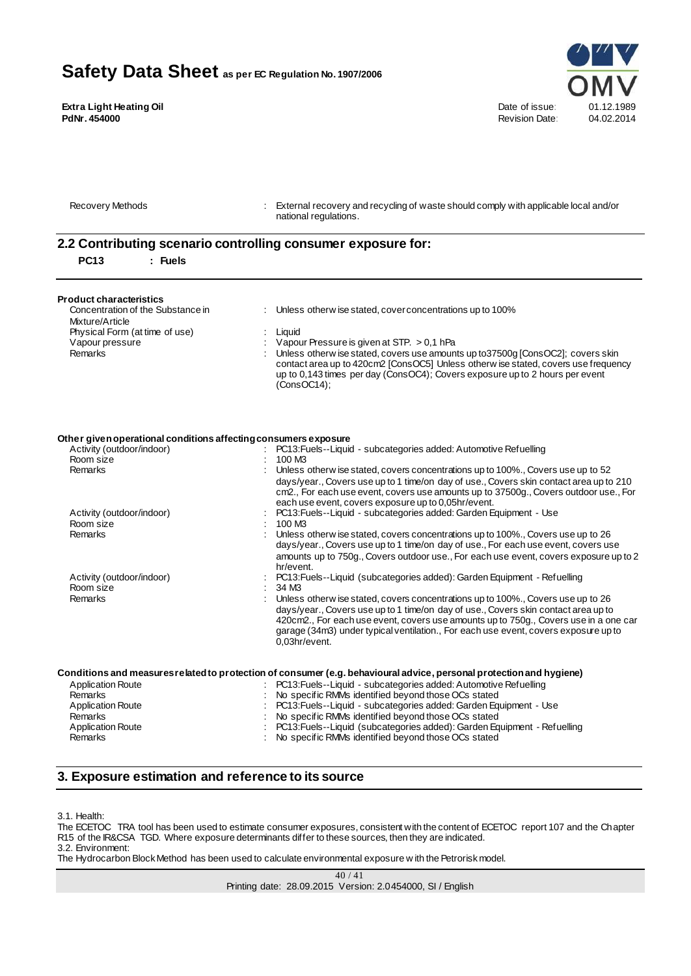# **Extra Light Heating Oil** Date of issue: 01.12.1989



Recovery Methods **in the covert of the Covery and recovery and recycling of waste should comply with applicable local and/or** national regulations. **2.2 Contributing scenario controlling consumer exposure for: PC13 : Fuels Product characteristics** Concentration of the Substance in Mixture/Article : Unless otherw ise stated, cover concentrations up to 100% Physical Form (at time of use) : Liquid<br>
Vapour pressure : Vapou Vapour Pressure is given at STP. > 0,1 hPa Remarks **in the stated** of the Unless otherw ise stated, covers use amounts up to 37500g [ConsOC2]; covers skin contact area up to 420cm2 [ConsOC5] Unless otherw ise stated, covers use frequency up to 0,143 times per day (ConsOC4); Covers exposure up to 2 hours per event  $(C<sub>ons</sub>O<sub>C</sub>14)$ **Other given operational conditions affecting consumers exposure** PC13:Fuels--Liquid - subcategories added: Automotive Refuelling<br>100 M3 Room size<br>Remarks Unless otherw ise stated, covers concentrations up to 100%., Covers use up to 52 days/year., Covers use up to 1 time/on day of use., Covers skin contact area up to 210 cm2., For each use event, covers use amounts up to 37500g., Covers outdoor use., For each use event, covers exposure up to 0,05hr/event. Activity (outdoor/indoor) : PC13:Fuels--Liquid - subcategories added: Garden Equipment - Use Room size : 100 M3 Remarks **Example 26** Concentrations in the Unless otherw ise stated, covers concentrations up to 100%., Covers use up to 26 days/year., Covers use up to 1 time/on day of use., For each use event, covers use amounts up to 750g., Covers outdoor use., For each use event, covers exposure up to 2 hr/event. Activity (outdoor/indoor) : PC13:Fuels--Liquid (subcategories added): Garden Equipment - Refuelling Room size : 34 M3 Remarks **Example 3** Concentrations in the Unless otherw ise stated, covers concentrations up to 100%., Covers use up to 26 days/year., Covers use up to 1 time/on day of use., Covers skin contact area up to 420cm2., For each use event, covers use amounts up to 750g., Covers use in a one car garage (34m3) under typical ventilation., For each use event, covers exposure up to 0,03hr/event. **Conditions and measures related to protection of consumer (e.g. behavioural advice, personal protection and hygiene)** Application Route **: PC13:Fuels--Liquid - subcategories added: Automotive Refuelling** Remarks : No specific RMMs identified beyond those OCs stated PC13: Fuels--Liquid - subcategories added: Garden Equipment - Use Remarks **EXECUTE:** No specific RMMs identified beyond those OCs stated Application Route **: PC13:Fuels--Liquid (subcategories added):** Garden Equipment - Refuelling<br>Remarks : No specific RMMs identified beyond those OCs stated No specific RMMs identified beyond those OCs stated

### **3. Exposure estimation and reference to its source**

3.1. Health:

The ECETOC TRA tool has been used to estimate consumer exposures, consistent with the content of ECETOC report 107 and the Chapter R15 of the IR&CSA TGD. Where exposure determinants differ to these sources, then they are indicated. 3.2. Environment:

The Hydrocarbon Block Method has been used to calculate environmental exposure w ith the Petrorisk model.